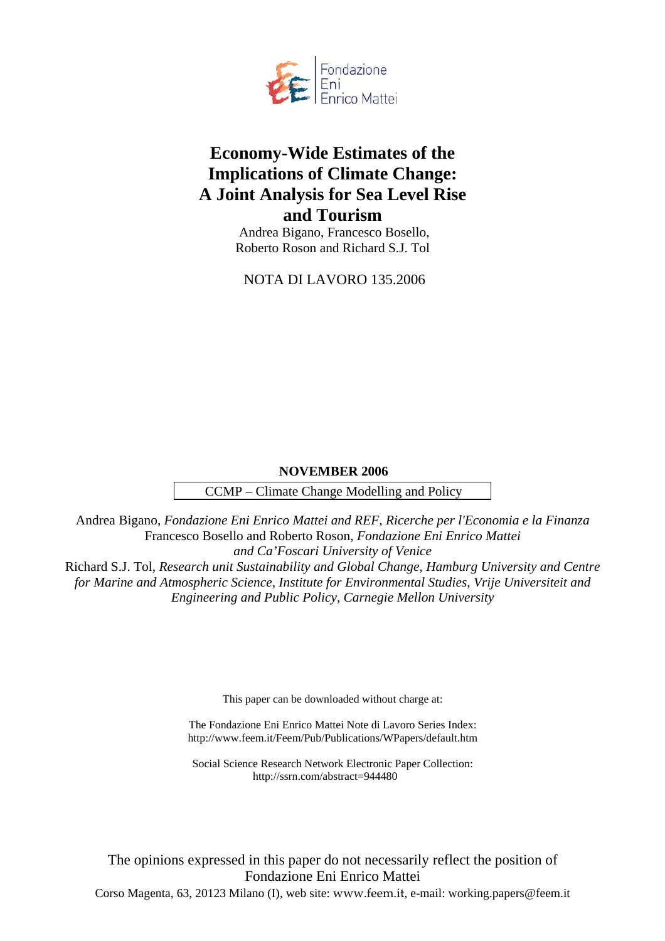

# **Economy-Wide Estimates of the Implications of Climate Change: A Joint Analysis for Sea Level Rise and Tourism**

 Andrea Bigano, Francesco Bosello, Roberto Roson and Richard S.J. Tol

NOTA DI LAVORO 135.2006

# **NOVEMBER 2006**

CCMP – Climate Change Modelling and Policy

Andrea Bigano, *Fondazione Eni Enrico Mattei and REF, Ricerche per l'Economia e la Finanza* Francesco Bosello and Roberto Roson, *Fondazione Eni Enrico Mattei and Ca'Foscari University of Venice* Richard S.J. Tol, *Research unit Sustainability and Global Change, Hamburg University and Centre for Marine and Atmospheric Science, Institute for Environmental Studies, Vrije Universiteit and Engineering and Public Policy, Carnegie Mellon University*

This paper can be downloaded without charge at:

The Fondazione Eni Enrico Mattei Note di Lavoro Series Index: http://www.feem.it/Feem/Pub/Publications/WPapers/default.htm

Social Science Research Network Electronic Paper Collection: http://ssrn.com/abstract=944480

The opinions expressed in this paper do not necessarily reflect the position of Fondazione Eni Enrico Mattei Corso Magenta, 63, 20123 Milano (I), web site: www.feem.it, e-mail: working.papers@feem.it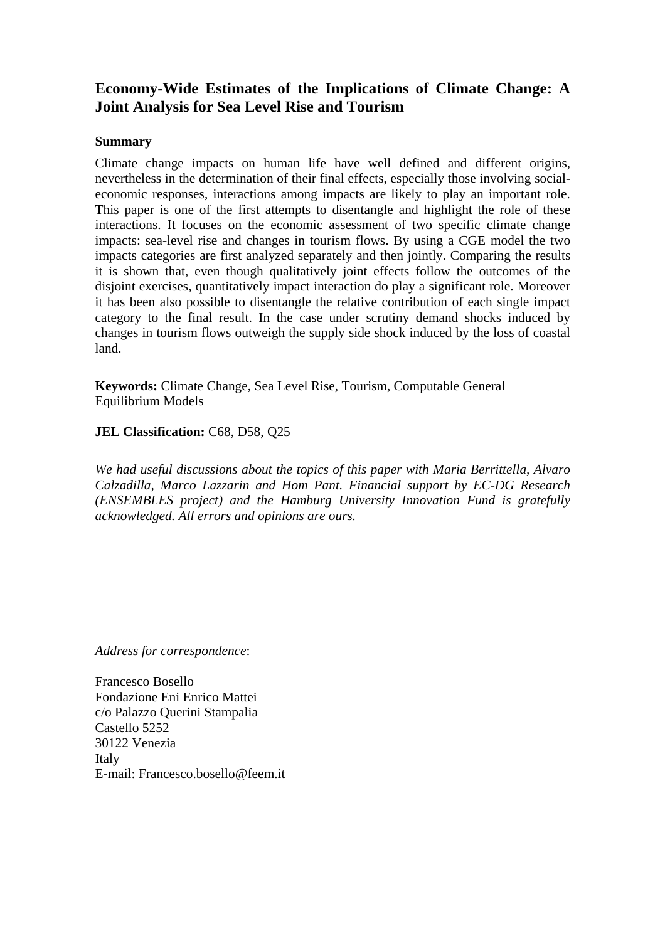# **Economy-Wide Estimates of the Implications of Climate Change: A Joint Analysis for Sea Level Rise and Tourism**

# **Summary**

Climate change impacts on human life have well defined and different origins, nevertheless in the determination of their final effects, especially those involving socialeconomic responses, interactions among impacts are likely to play an important role. This paper is one of the first attempts to disentangle and highlight the role of these interactions. It focuses on the economic assessment of two specific climate change impacts: sea-level rise and changes in tourism flows. By using a CGE model the two impacts categories are first analyzed separately and then jointly. Comparing the results it is shown that, even though qualitatively joint effects follow the outcomes of the disjoint exercises, quantitatively impact interaction do play a significant role. Moreover it has been also possible to disentangle the relative contribution of each single impact category to the final result. In the case under scrutiny demand shocks induced by changes in tourism flows outweigh the supply side shock induced by the loss of coastal land.

**Keywords:** Climate Change, Sea Level Rise, Tourism, Computable General Equilibrium Models

**JEL Classification:** C68, D58, Q25

*We had useful discussions about the topics of this paper with Maria Berrittella, Alvaro Calzadilla, Marco Lazzarin and Hom Pant. Financial support by EC-DG Research (ENSEMBLES project) and the Hamburg University Innovation Fund is gratefully acknowledged. All errors and opinions are ours.*

*Address for correspondence*:

Francesco Bosello Fondazione Eni Enrico Mattei c/o Palazzo Querini Stampalia Castello 5252 30122 Venezia Italy E-mail: Francesco.bosello@feem.it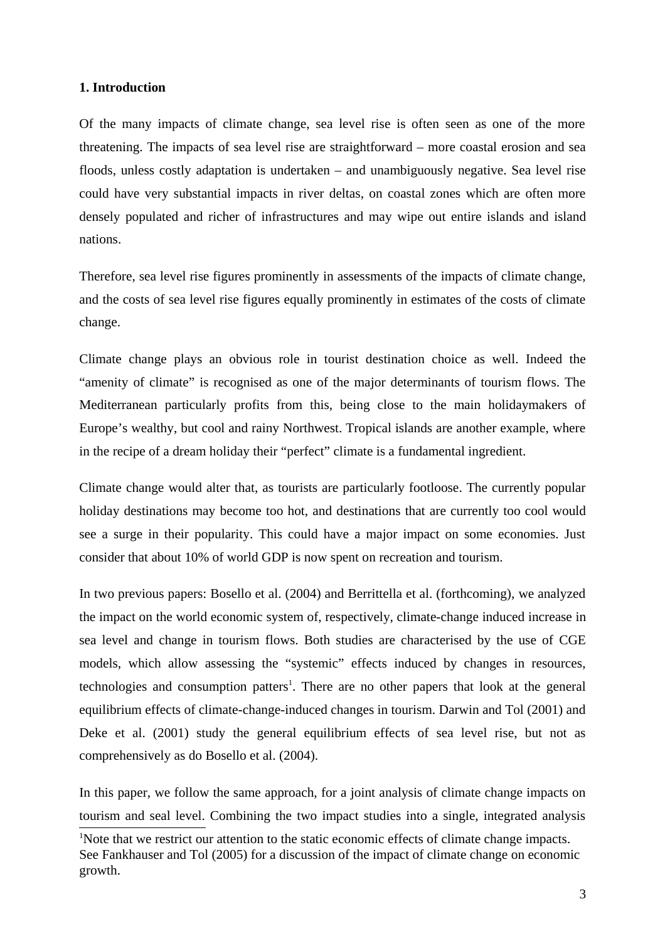## **1. Introduction**

Of the many impacts of climate change, sea level rise is often seen as one of the more threatening. The impacts of sea level rise are straightforward – more coastal erosion and sea floods, unless costly adaptation is undertaken – and unambiguously negative. Sea level rise could have very substantial impacts in river deltas, on coastal zones which are often more densely populated and richer of infrastructures and may wipe out entire islands and island nations.

Therefore, sea level rise figures prominently in assessments of the impacts of climate change, and the costs of sea level rise figures equally prominently in estimates of the costs of climate change.

Climate change plays an obvious role in tourist destination choice as well. Indeed the "amenity of climate" is recognised as one of the major determinants of tourism flows. The Mediterranean particularly profits from this, being close to the main holidaymakers of Europe's wealthy, but cool and rainy Northwest. Tropical islands are another example, where in the recipe of a dream holiday their "perfect" climate is a fundamental ingredient.

Climate change would alter that, as tourists are particularly footloose. The currently popular holiday destinations may become too hot, and destinations that are currently too cool would see a surge in their popularity. This could have a major impact on some economies. Just consider that about 10% of world GDP is now spent on recreation and tourism.

In two previous papers: Bosello et al. (2004) and Berrittella et al. (forthcoming), we analyzed the impact on the world economic system of, respectively, climate-change induced increase in sea level and change in tourism flows. Both studies are characterised by the use of CGE models, which allow assessing the "systemic" effects induced by changes in resources, technologies and consumption patters<sup>1</sup>. There are no other papers that look at the general equilibrium effects of climate-change-induced changes in tourism. Darwin and Tol (2001) and Deke et al. (2001) study the general equilibrium effects of sea level rise, but not as comprehensively as do Bosello et al. (2004).

In this paper, we follow the same approach, for a joint analysis of climate change impacts on tourism and seal level. Combining the two impact studies into a single, integrated analysis

<sup>&</sup>lt;sup>1</sup>Note that we restrict our attention to the static economic effects of climate change impacts. See Fankhauser and Tol (2005) for a discussion of the impact of climate change on economic growth.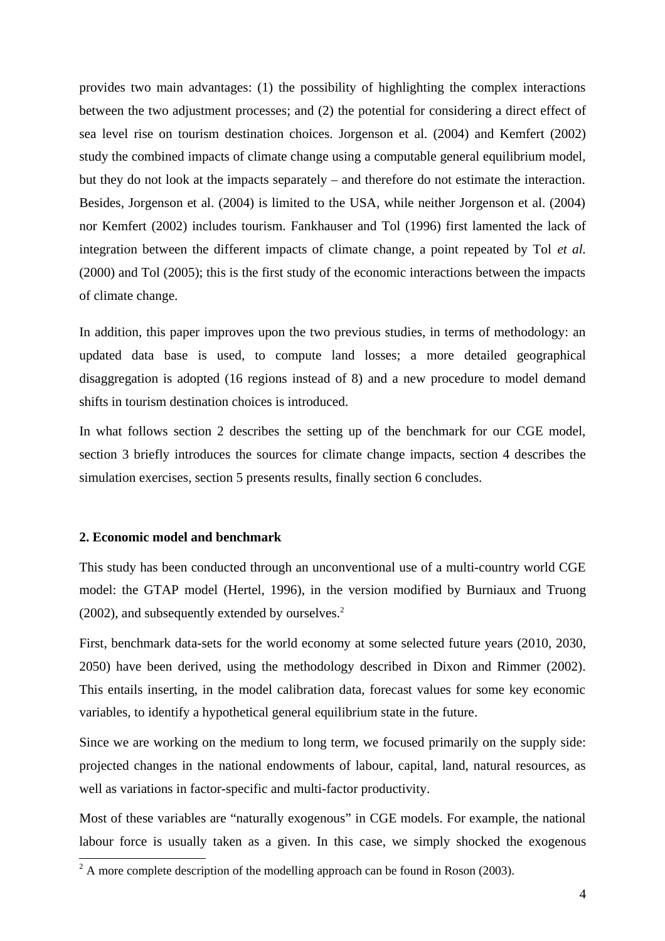provides two main advantages: (1) the possibility of highlighting the complex interactions between the two adjustment processes; and (2) the potential for considering a direct effect of sea level rise on tourism destination choices. Jorgenson et al. (2004) and Kemfert (2002) study the combined impacts of climate change using a computable general equilibrium model, but they do not look at the impacts separately – and therefore do not estimate the interaction. Besides, Jorgenson et al. (2004) is limited to the USA, while neither Jorgenson et al. (2004) nor Kemfert (2002) includes tourism. Fankhauser and Tol (1996) first lamented the lack of integration between the different impacts of climate change, a point repeated by Tol *et al.* (2000) and Tol (2005); this is the first study of the economic interactions between the impacts of climate change.

In addition, this paper improves upon the two previous studies, in terms of methodology: an updated data base is used, to compute land losses; a more detailed geographical disaggregation is adopted (16 regions instead of 8) and a new procedure to model demand shifts in tourism destination choices is introduced.

In what follows section 2 describes the setting up of the benchmark for our CGE model, section 3 briefly introduces the sources for climate change impacts, section 4 describes the simulation exercises, section 5 presents results, finally section 6 concludes.

### **2. Economic model and benchmark**

This study has been conducted through an unconventional use of a multi-country world CGE model: the GTAP model (Hertel, 1996), in the version modified by Burniaux and Truong  $(2002)$ , and subsequently extended by ourselves.<sup>2</sup>

First, benchmark data-sets for the world economy at some selected future years (2010, 2030, 2050) have been derived, using the methodology described in Dixon and Rimmer (2002). This entails inserting, in the model calibration data, forecast values for some key economic variables, to identify a hypothetical general equilibrium state in the future.

Since we are working on the medium to long term, we focused primarily on the supply side: projected changes in the national endowments of labour, capital, land, natural resources, as well as variations in factor-specific and multi-factor productivity.

Most of these variables are "naturally exogenous" in CGE models. For example, the national labour force is usually taken as a given. In this case, we simply shocked the exogenous

 $\overline{a^2}$  A more complete description of the modelling approach can be found in Roson (2003).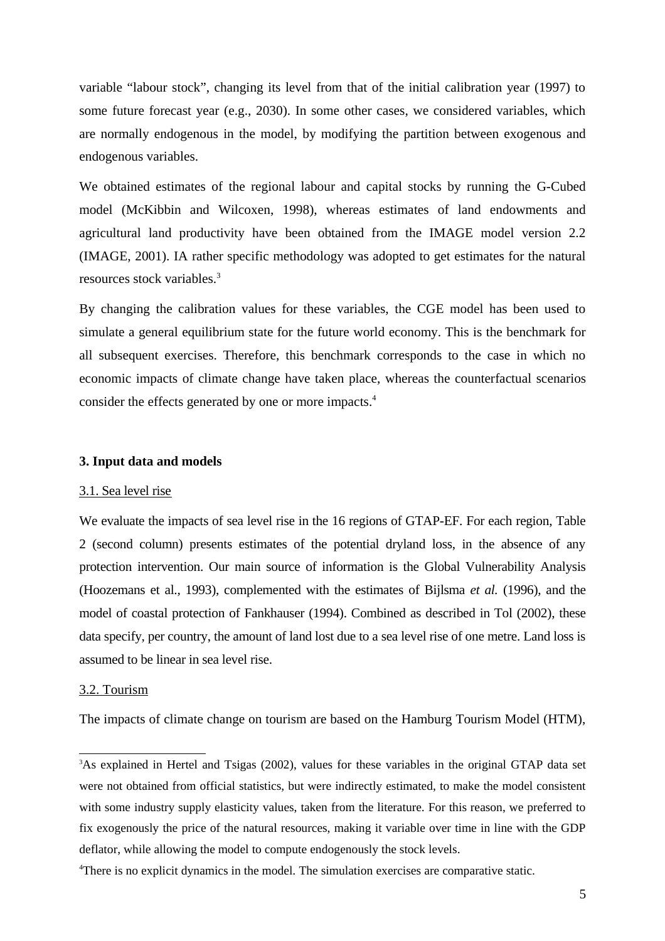variable "labour stock", changing its level from that of the initial calibration year (1997) to some future forecast year (e.g., 2030). In some other cases, we considered variables, which are normally endogenous in the model, by modifying the partition between exogenous and endogenous variables.

We obtained estimates of the regional labour and capital stocks by running the G-Cubed model (McKibbin and Wilcoxen, 1998), whereas estimates of land endowments and agricultural land productivity have been obtained from the IMAGE model version 2.2 (IMAGE, 2001). IA rather specific methodology was adopted to get estimates for the natural resources stock variables.<sup>3</sup>

By changing the calibration values for these variables, the CGE model has been used to simulate a general equilibrium state for the future world economy. This is the benchmark for all subsequent exercises. Therefore, this benchmark corresponds to the case in which no economic impacts of climate change have taken place, whereas the counterfactual scenarios consider the effects generated by one or more impacts.<sup>4</sup>

#### **3. Input data and models**

#### 3.1. Sea level rise

We evaluate the impacts of sea level rise in the 16 regions of GTAP-EF. For each region, Table 2 (second column) presents estimates of the potential dryland loss, in the absence of any protection intervention. Our main source of information is the Global Vulnerability Analysis (Hoozemans et al., 1993), complemented with the estimates of Bijlsma *et al.* (1996), and the model of coastal protection of Fankhauser (1994). Combined as described in Tol (2002), these data specify, per country, the amount of land lost due to a sea level rise of one metre. Land loss is assumed to be linear in sea level rise.

### 3.2. Tourism

The impacts of climate change on tourism are based on the Hamburg Tourism Model (HTM),

<sup>&</sup>lt;sup>3</sup>As explained in Hertel and Tsigas (2002), values for these variables in the original GTAP data set were not obtained from official statistics, but were indirectly estimated, to make the model consistent with some industry supply elasticity values, taken from the literature. For this reason, we preferred to fix exogenously the price of the natural resources, making it variable over time in line with the GDP deflator, while allowing the model to compute endogenously the stock levels.

<sup>4</sup>There is no explicit dynamics in the model. The simulation exercises are comparative static.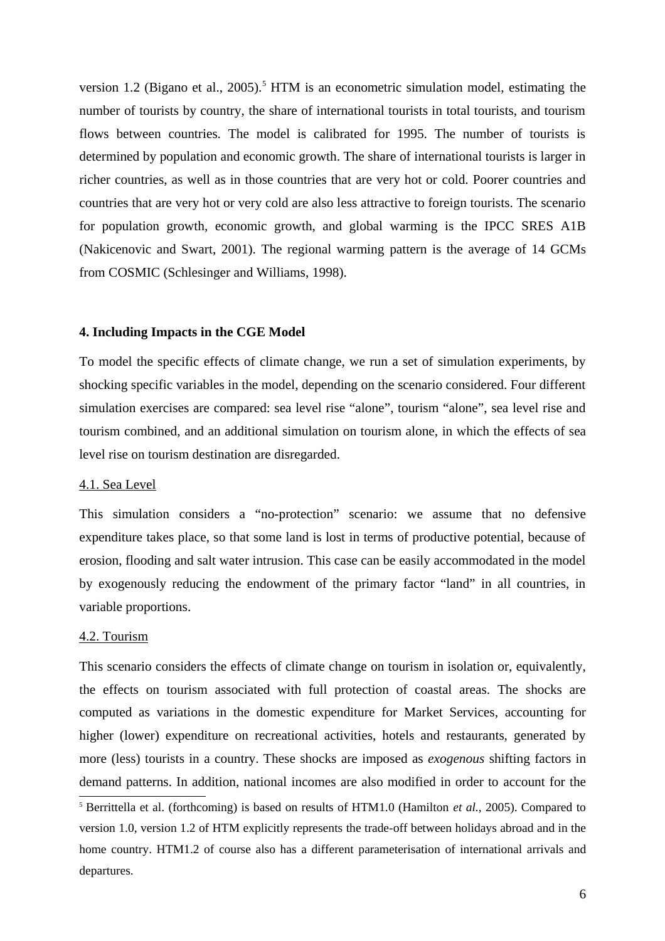version 1.2 (Bigano et al., 2005).<sup>5</sup> HTM is an econometric simulation model, estimating the number of tourists by country, the share of international tourists in total tourists, and tourism flows between countries. The model is calibrated for 1995. The number of tourists is determined by population and economic growth. The share of international tourists is larger in richer countries, as well as in those countries that are very hot or cold. Poorer countries and countries that are very hot or very cold are also less attractive to foreign tourists. The scenario for population growth, economic growth, and global warming is the IPCC SRES A1B (Nakicenovic and Swart, 2001). The regional warming pattern is the average of 14 GCMs from COSMIC (Schlesinger and Williams, 1998).

#### **4. Including Impacts in the CGE Model**

To model the specific effects of climate change, we run a set of simulation experiments, by shocking specific variables in the model, depending on the scenario considered. Four different simulation exercises are compared: sea level rise "alone", tourism "alone", sea level rise and tourism combined, and an additional simulation on tourism alone, in which the effects of sea level rise on tourism destination are disregarded.

### 4.1. Sea Level

This simulation considers a "no-protection" scenario: we assume that no defensive expenditure takes place, so that some land is lost in terms of productive potential, because of erosion, flooding and salt water intrusion. This case can be easily accommodated in the model by exogenously reducing the endowment of the primary factor "land" in all countries, in variable proportions.

#### 4.2. Tourism

This scenario considers the effects of climate change on tourism in isolation or, equivalently, the effects on tourism associated with full protection of coastal areas. The shocks are computed as variations in the domestic expenditure for Market Services, accounting for higher (lower) expenditure on recreational activities, hotels and restaurants, generated by more (less) tourists in a country. These shocks are imposed as *exogenous* shifting factors in demand patterns. In addition, national incomes are also modified in order to account for the <sup>5</sup> Berrittella et al. (forthcoming) is based on results of HTM1.0 (Hamilton *et al.*, 2005). Compared to

version 1.0, version 1.2 of HTM explicitly represents the trade-off between holidays abroad and in the home country. HTM1.2 of course also has a different parameterisation of international arrivals and departures.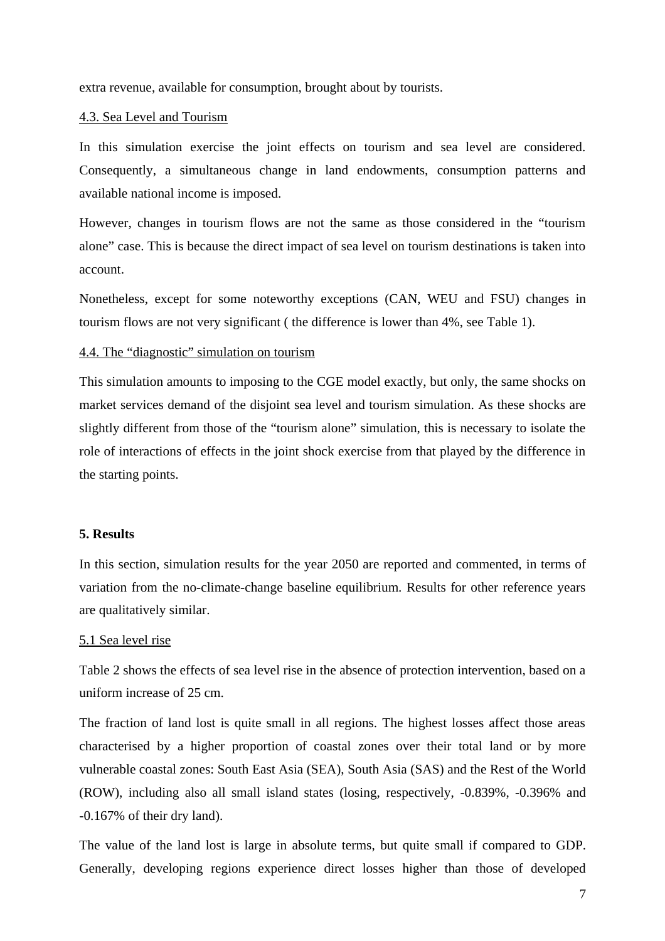extra revenue, available for consumption, brought about by tourists.

## 4.3. Sea Level and Tourism

In this simulation exercise the joint effects on tourism and sea level are considered. Consequently, a simultaneous change in land endowments, consumption patterns and available national income is imposed.

However, changes in tourism flows are not the same as those considered in the "tourism alone" case. This is because the direct impact of sea level on tourism destinations is taken into account.

Nonetheless, except for some noteworthy exceptions (CAN, WEU and FSU) changes in tourism flows are not very significant ( the difference is lower than 4%, see Table 1).

## 4.4. The "diagnostic" simulation on tourism

This simulation amounts to imposing to the CGE model exactly, but only, the same shocks on market services demand of the disjoint sea level and tourism simulation. As these shocks are slightly different from those of the "tourism alone" simulation, this is necessary to isolate the role of interactions of effects in the joint shock exercise from that played by the difference in the starting points.

# **5. Results**

In this section, simulation results for the year 2050 are reported and commented, in terms of variation from the no-climate-change baseline equilibrium. Results for other reference years are qualitatively similar.

#### 5.1 Sea level rise

Table 2 shows the effects of sea level rise in the absence of protection intervention, based on a uniform increase of 25 cm.

The fraction of land lost is quite small in all regions. The highest losses affect those areas characterised by a higher proportion of coastal zones over their total land or by more vulnerable coastal zones: South East Asia (SEA), South Asia (SAS) and the Rest of the World (ROW), including also all small island states (losing, respectively, -0.839%, -0.396% and -0.167% of their dry land).

The value of the land lost is large in absolute terms, but quite small if compared to GDP. Generally, developing regions experience direct losses higher than those of developed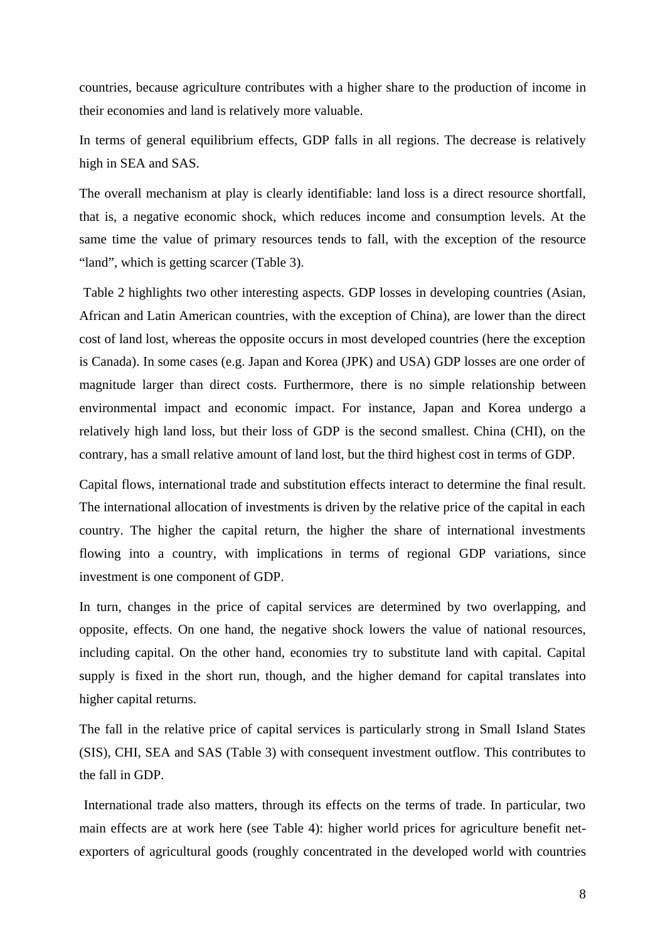countries, because agriculture contributes with a higher share to the production of income in their economies and land is relatively more valuable.

In terms of general equilibrium effects, GDP falls in all regions. The decrease is relatively high in SEA and SAS.

The overall mechanism at play is clearly identifiable: land loss is a direct resource shortfall, that is, a negative economic shock, which reduces income and consumption levels. At the same time the value of primary resources tends to fall, with the exception of the resource "land", which is getting scarcer (Table 3).

 Table 2 highlights two other interesting aspects. GDP losses in developing countries (Asian, African and Latin American countries, with the exception of China), are lower than the direct cost of land lost, whereas the opposite occurs in most developed countries (here the exception is Canada). In some cases (e.g. Japan and Korea (JPK) and USA) GDP losses are one order of magnitude larger than direct costs. Furthermore, there is no simple relationship between environmental impact and economic impact. For instance, Japan and Korea undergo a relatively high land loss, but their loss of GDP is the second smallest. China (CHI), on the contrary, has a small relative amount of land lost, but the third highest cost in terms of GDP.

Capital flows, international trade and substitution effects interact to determine the final result. The international allocation of investments is driven by the relative price of the capital in each country. The higher the capital return, the higher the share of international investments flowing into a country, with implications in terms of regional GDP variations, since investment is one component of GDP.

In turn, changes in the price of capital services are determined by two overlapping, and opposite, effects. On one hand, the negative shock lowers the value of national resources, including capital. On the other hand, economies try to substitute land with capital. Capital supply is fixed in the short run, though, and the higher demand for capital translates into higher capital returns.

The fall in the relative price of capital services is particularly strong in Small Island States (SIS), CHI, SEA and SAS (Table 3) with consequent investment outflow. This contributes to the fall in GDP.

 International trade also matters, through its effects on the terms of trade. In particular, two main effects are at work here (see Table 4): higher world prices for agriculture benefit netexporters of agricultural goods (roughly concentrated in the developed world with countries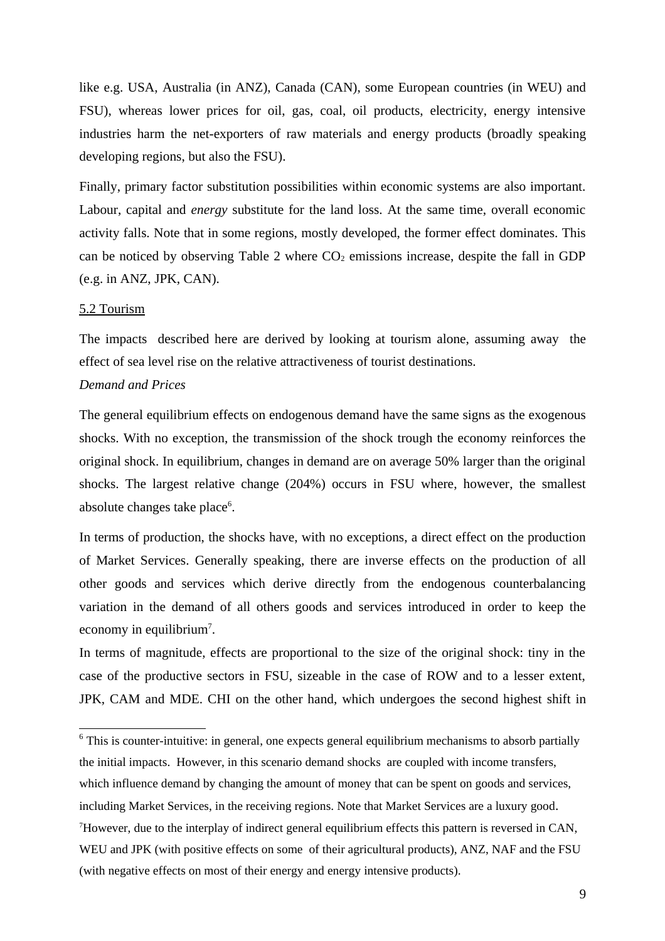like e.g. USA, Australia (in ANZ), Canada (CAN), some European countries (in WEU) and FSU), whereas lower prices for oil, gas, coal, oil products, electricity, energy intensive industries harm the net-exporters of raw materials and energy products (broadly speaking developing regions, but also the FSU).

Finally, primary factor substitution possibilities within economic systems are also important. Labour, capital and *energy* substitute for the land loss. At the same time, overall economic activity falls. Note that in some regions, mostly developed, the former effect dominates. This can be noticed by observing Table 2 where  $CO<sub>2</sub>$  emissions increase, despite the fall in GDP (e.g. in ANZ, JPK, CAN).

## 5.2 Tourism

The impacts described here are derived by looking at tourism alone, assuming away the effect of sea level rise on the relative attractiveness of tourist destinations.

## *Demand and Prices*

The general equilibrium effects on endogenous demand have the same signs as the exogenous shocks. With no exception, the transmission of the shock trough the economy reinforces the original shock. In equilibrium, changes in demand are on average 50% larger than the original shocks. The largest relative change (204%) occurs in FSU where, however, the smallest absolute changes take place<sup>6</sup>.

In terms of production, the shocks have, with no exceptions, a direct effect on the production of Market Services. Generally speaking, there are inverse effects on the production of all other goods and services which derive directly from the endogenous counterbalancing variation in the demand of all others goods and services introduced in order to keep the economy in equilibrium<sup>7</sup>.

In terms of magnitude, effects are proportional to the size of the original shock: tiny in the case of the productive sectors in FSU, sizeable in the case of ROW and to a lesser extent, JPK, CAM and MDE. CHI on the other hand, which undergoes the second highest shift in

<sup>6</sup> This is counter-intuitive: in general, one expects general equilibrium mechanisms to absorb partially the initial impacts. However, in this scenario demand shocks are coupled with income transfers, which influence demand by changing the amount of money that can be spent on goods and services, including Market Services, in the receiving regions. Note that Market Services are a luxury good.  $<sup>7</sup>$ However, due to the interplay of indirect general equilibrium effects this pattern is reversed in CAN,</sup> WEU and JPK (with positive effects on some of their agricultural products), ANZ, NAF and the FSU (with negative effects on most of their energy and energy intensive products).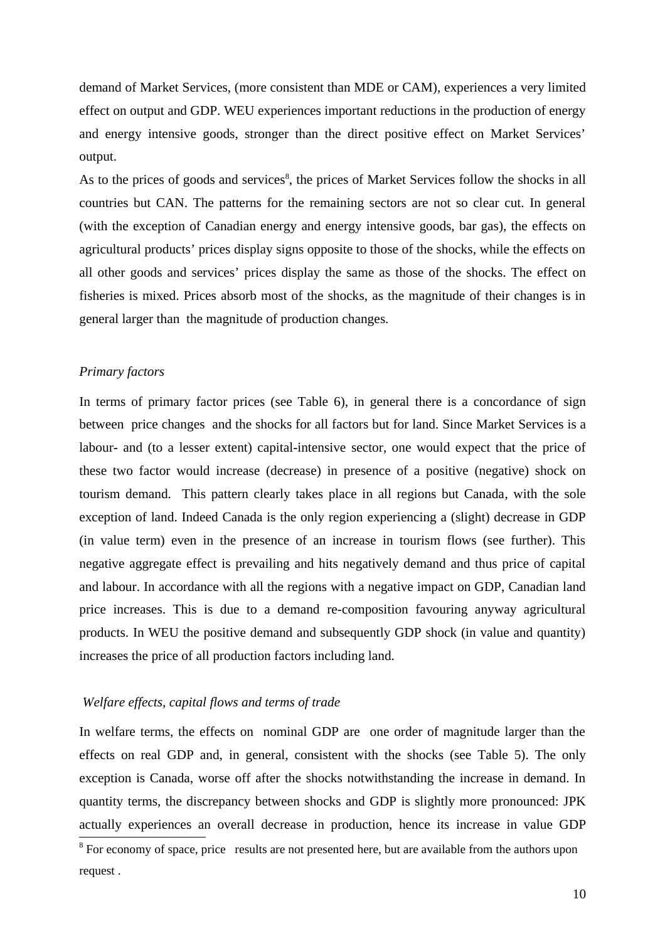demand of Market Services, (more consistent than MDE or CAM), experiences a very limited effect on output and GDP. WEU experiences important reductions in the production of energy and energy intensive goods, stronger than the direct positive effect on Market Services' output.

As to the prices of goods and services<sup>8</sup>, the prices of Market Services follow the shocks in all countries but CAN. The patterns for the remaining sectors are not so clear cut. In general (with the exception of Canadian energy and energy intensive goods, bar gas), the effects on agricultural products' prices display signs opposite to those of the shocks, while the effects on all other goods and services' prices display the same as those of the shocks. The effect on fisheries is mixed. Prices absorb most of the shocks, as the magnitude of their changes is in general larger than the magnitude of production changes.

### *Primary factors*

In terms of primary factor prices (see Table 6), in general there is a concordance of sign between price changes and the shocks for all factors but for land. Since Market Services is a labour- and (to a lesser extent) capital-intensive sector, one would expect that the price of these two factor would increase (decrease) in presence of a positive (negative) shock on tourism demand. This pattern clearly takes place in all regions but Canada, with the sole exception of land. Indeed Canada is the only region experiencing a (slight) decrease in GDP (in value term) even in the presence of an increase in tourism flows (see further). This negative aggregate effect is prevailing and hits negatively demand and thus price of capital and labour. In accordance with all the regions with a negative impact on GDP, Canadian land price increases. This is due to a demand re-composition favouring anyway agricultural products. In WEU the positive demand and subsequently GDP shock (in value and quantity) increases the price of all production factors including land.

#### *Welfare effects, capital flows and terms of trade*

In welfare terms, the effects on nominal GDP are one order of magnitude larger than the effects on real GDP and, in general, consistent with the shocks (see Table 5). The only exception is Canada, worse off after the shocks notwithstanding the increase in demand. In quantity terms, the discrepancy between shocks and GDP is slightly more pronounced: JPK actually experiences an overall decrease in production, hence its increase in value GDP

<sup>&</sup>lt;sup>8</sup> For economy of space, price results are not presented here, but are available from the authors upon request .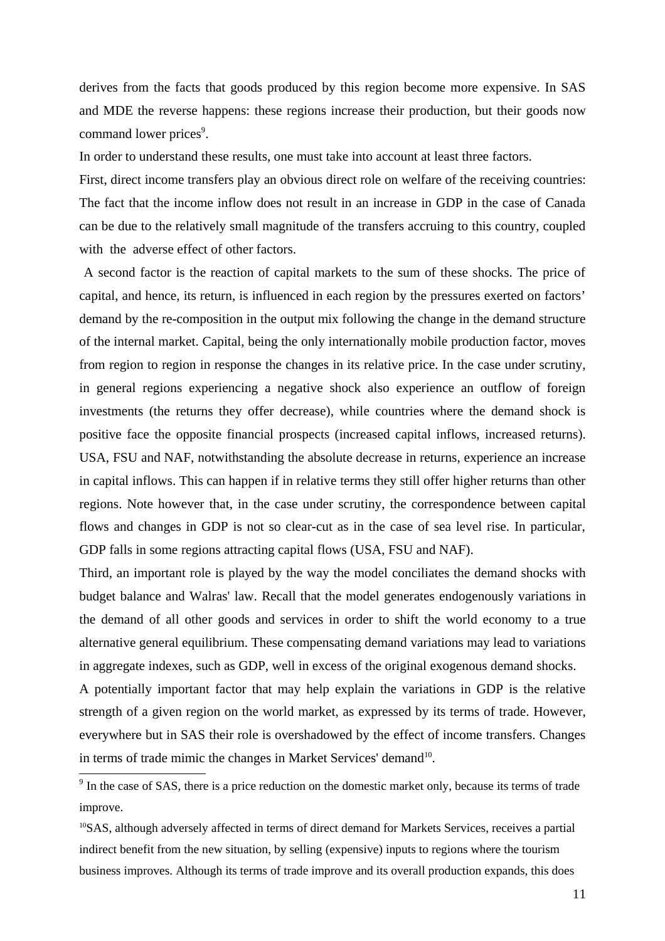derives from the facts that goods produced by this region become more expensive. In SAS and MDE the reverse happens: these regions increase their production, but their goods now command lower prices<sup>9</sup>.

In order to understand these results, one must take into account at least three factors.

First, direct income transfers play an obvious direct role on welfare of the receiving countries: The fact that the income inflow does not result in an increase in GDP in the case of Canada can be due to the relatively small magnitude of the transfers accruing to this country, coupled with the adverse effect of other factors.

 A second factor is the reaction of capital markets to the sum of these shocks. The price of capital, and hence, its return, is influenced in each region by the pressures exerted on factors' demand by the re-composition in the output mix following the change in the demand structure of the internal market. Capital, being the only internationally mobile production factor, moves from region to region in response the changes in its relative price. In the case under scrutiny, in general regions experiencing a negative shock also experience an outflow of foreign investments (the returns they offer decrease), while countries where the demand shock is positive face the opposite financial prospects (increased capital inflows, increased returns). USA, FSU and NAF, notwithstanding the absolute decrease in returns, experience an increase in capital inflows. This can happen if in relative terms they still offer higher returns than other regions. Note however that, in the case under scrutiny, the correspondence between capital flows and changes in GDP is not so clear-cut as in the case of sea level rise. In particular, GDP falls in some regions attracting capital flows (USA, FSU and NAF).

Third, an important role is played by the way the model conciliates the demand shocks with budget balance and Walras' law. Recall that the model generates endogenously variations in the demand of all other goods and services in order to shift the world economy to a true alternative general equilibrium. These compensating demand variations may lead to variations in aggregate indexes, such as GDP, well in excess of the original exogenous demand shocks.

A potentially important factor that may help explain the variations in GDP is the relative strength of a given region on the world market, as expressed by its terms of trade. However, everywhere but in SAS their role is overshadowed by the effect of income transfers. Changes in terms of trade mimic the changes in Market Services' demand<sup>10</sup>.

<sup>&</sup>lt;sup>9</sup> In the case of SAS, there is a price reduction on the domestic market only, because its terms of trade improve.

 $10$ SAS, although adversely affected in terms of direct demand for Markets Services, receives a partial indirect benefit from the new situation, by selling (expensive) inputs to regions where the tourism business improves. Although its terms of trade improve and its overall production expands, this does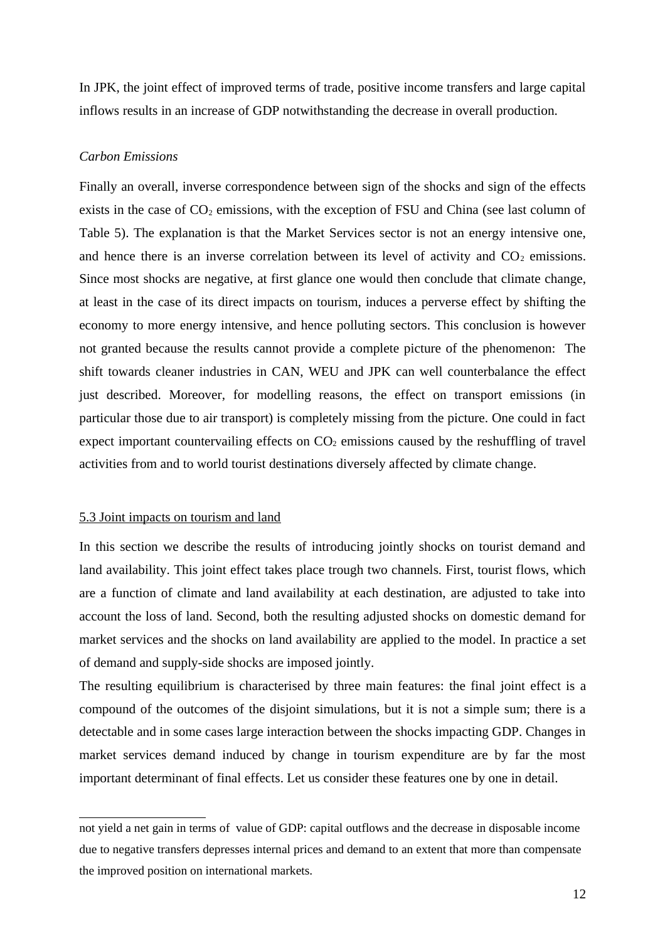In JPK, the joint effect of improved terms of trade, positive income transfers and large capital inflows results in an increase of GDP notwithstanding the decrease in overall production.

#### *Carbon Emissions*

Finally an overall, inverse correspondence between sign of the shocks and sign of the effects exists in the case of  $CO<sub>2</sub>$  emissions, with the exception of FSU and China (see last column of Table 5). The explanation is that the Market Services sector is not an energy intensive one, and hence there is an inverse correlation between its level of activity and  $CO<sub>2</sub>$  emissions. Since most shocks are negative, at first glance one would then conclude that climate change, at least in the case of its direct impacts on tourism, induces a perverse effect by shifting the economy to more energy intensive, and hence polluting sectors. This conclusion is however not granted because the results cannot provide a complete picture of the phenomenon: The shift towards cleaner industries in CAN, WEU and JPK can well counterbalance the effect just described. Moreover, for modelling reasons, the effect on transport emissions (in particular those due to air transport) is completely missing from the picture. One could in fact expect important countervailing effects on  $CO<sub>2</sub>$  emissions caused by the reshuffling of travel activities from and to world tourist destinations diversely affected by climate change.

#### 5.3 Joint impacts on tourism and land

In this section we describe the results of introducing jointly shocks on tourist demand and land availability. This joint effect takes place trough two channels. First, tourist flows, which are a function of climate and land availability at each destination, are adjusted to take into account the loss of land. Second, both the resulting adjusted shocks on domestic demand for market services and the shocks on land availability are applied to the model. In practice a set of demand and supply-side shocks are imposed jointly.

The resulting equilibrium is characterised by three main features: the final joint effect is a compound of the outcomes of the disjoint simulations, but it is not a simple sum; there is a detectable and in some cases large interaction between the shocks impacting GDP. Changes in market services demand induced by change in tourism expenditure are by far the most important determinant of final effects. Let us consider these features one by one in detail.

not yield a net gain in terms of value of GDP: capital outflows and the decrease in disposable income due to negative transfers depresses internal prices and demand to an extent that more than compensate the improved position on international markets.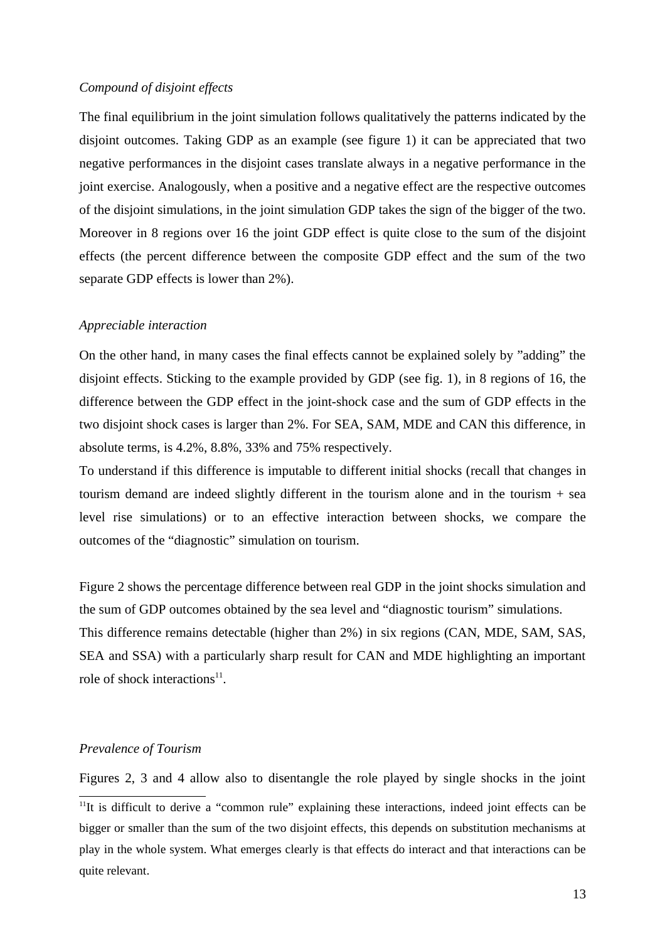## *Compound of disjoint effects*

The final equilibrium in the joint simulation follows qualitatively the patterns indicated by the disjoint outcomes. Taking GDP as an example (see figure 1) it can be appreciated that two negative performances in the disjoint cases translate always in a negative performance in the joint exercise. Analogously, when a positive and a negative effect are the respective outcomes of the disjoint simulations, in the joint simulation GDP takes the sign of the bigger of the two. Moreover in 8 regions over 16 the joint GDP effect is quite close to the sum of the disjoint effects (the percent difference between the composite GDP effect and the sum of the two separate GDP effects is lower than 2%).

## *Appreciable interaction*

On the other hand, in many cases the final effects cannot be explained solely by "adding" the disjoint effects. Sticking to the example provided by GDP (see fig. 1), in 8 regions of 16, the difference between the GDP effect in the joint-shock case and the sum of GDP effects in the two disjoint shock cases is larger than 2%. For SEA, SAM, MDE and CAN this difference, in absolute terms, is 4.2%, 8.8%, 33% and 75% respectively.

To understand if this difference is imputable to different initial shocks (recall that changes in tourism demand are indeed slightly different in the tourism alone and in the tourism + sea level rise simulations) or to an effective interaction between shocks, we compare the outcomes of the "diagnostic" simulation on tourism.

Figure 2 shows the percentage difference between real GDP in the joint shocks simulation and the sum of GDP outcomes obtained by the sea level and "diagnostic tourism" simulations. This difference remains detectable (higher than 2%) in six regions (CAN, MDE, SAM, SAS, SEA and SSA) with a particularly sharp result for CAN and MDE highlighting an important role of shock interactions<sup>11</sup>.

## *Prevalence of Tourism*

Figures 2, 3 and 4 allow also to disentangle the role played by single shocks in the joint <sup>11</sup>It is difficult to derive a "common rule" explaining these interactions, indeed joint effects can be bigger or smaller than the sum of the two disjoint effects, this depends on substitution mechanisms at play in the whole system. What emerges clearly is that effects do interact and that interactions can be quite relevant.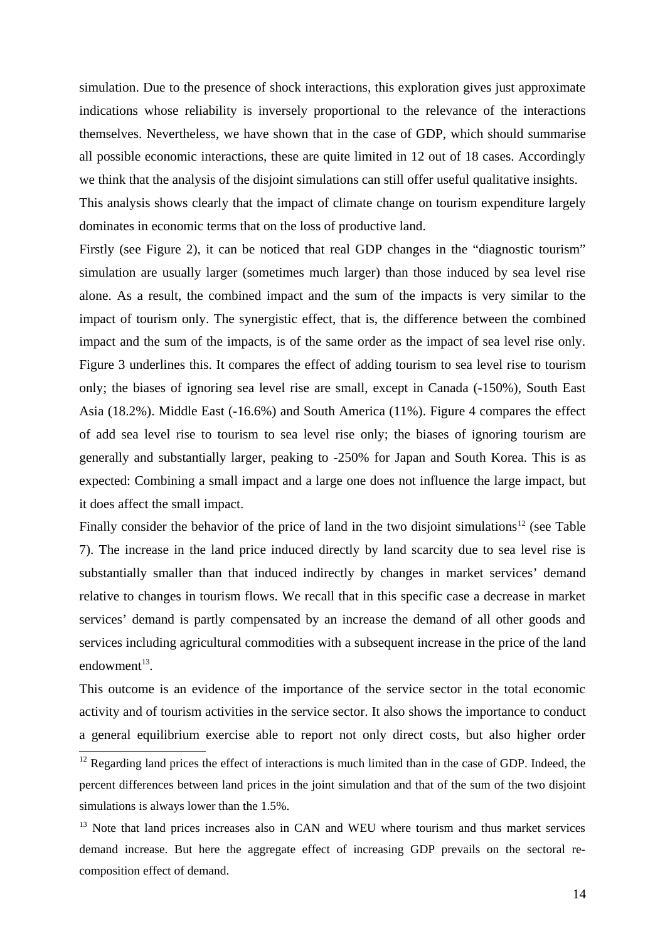simulation. Due to the presence of shock interactions, this exploration gives just approximate indications whose reliability is inversely proportional to the relevance of the interactions themselves. Nevertheless, we have shown that in the case of GDP, which should summarise all possible economic interactions, these are quite limited in 12 out of 18 cases. Accordingly we think that the analysis of the disjoint simulations can still offer useful qualitative insights.

This analysis shows clearly that the impact of climate change on tourism expenditure largely dominates in economic terms that on the loss of productive land.

Firstly (see Figure 2), it can be noticed that real GDP changes in the "diagnostic tourism" simulation are usually larger (sometimes much larger) than those induced by sea level rise alone. As a result, the combined impact and the sum of the impacts is very similar to the impact of tourism only. The synergistic effect, that is, the difference between the combined impact and the sum of the impacts, is of the same order as the impact of sea level rise only. Figure 3 underlines this. It compares the effect of adding tourism to sea level rise to tourism only; the biases of ignoring sea level rise are small, except in Canada (-150%), South East Asia (18.2%). Middle East (-16.6%) and South America (11%). Figure 4 compares the effect of add sea level rise to tourism to sea level rise only; the biases of ignoring tourism are generally and substantially larger, peaking to -250% for Japan and South Korea. This is as expected: Combining a small impact and a large one does not influence the large impact, but it does affect the small impact.

Finally consider the behavior of the price of land in the two disjoint simulations<sup>12</sup> (see Table 7). The increase in the land price induced directly by land scarcity due to sea level rise is substantially smaller than that induced indirectly by changes in market services' demand relative to changes in tourism flows. We recall that in this specific case a decrease in market services' demand is partly compensated by an increase the demand of all other goods and services including agricultural commodities with a subsequent increase in the price of the land  $endowment<sup>13</sup>$ .

This outcome is an evidence of the importance of the service sector in the total economic activity and of tourism activities in the service sector. It also shows the importance to conduct a general equilibrium exercise able to report not only direct costs, but also higher order

<sup>&</sup>lt;sup>12</sup> Regarding land prices the effect of interactions is much limited than in the case of GDP. Indeed, the percent differences between land prices in the joint simulation and that of the sum of the two disjoint simulations is always lower than the 1.5%.

<sup>&</sup>lt;sup>13</sup> Note that land prices increases also in CAN and WEU where tourism and thus market services demand increase. But here the aggregate effect of increasing GDP prevails on the sectoral recomposition effect of demand.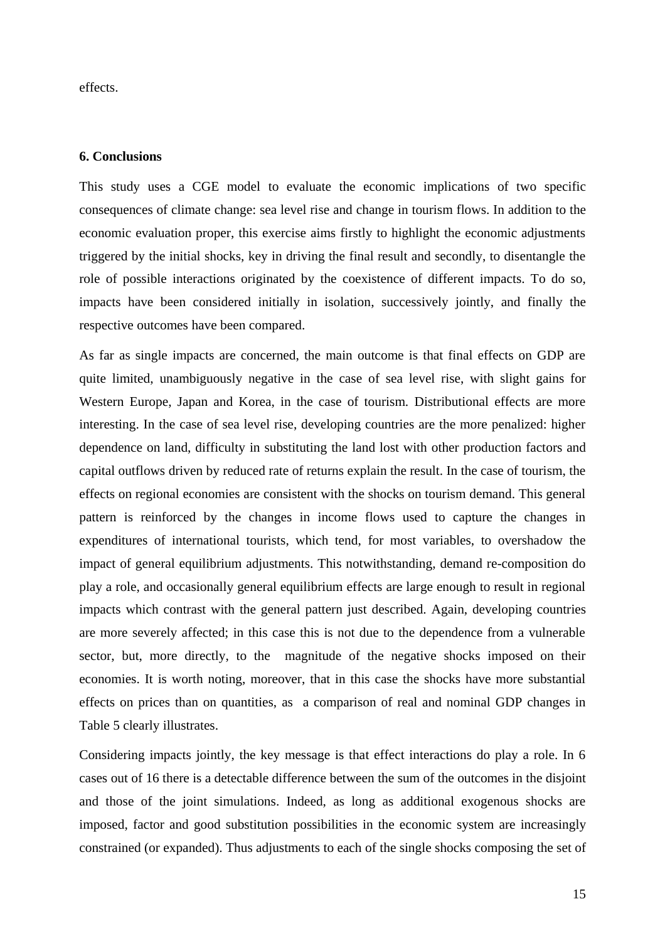effects.

#### **6. Conclusions**

This study uses a CGE model to evaluate the economic implications of two specific consequences of climate change: sea level rise and change in tourism flows. In addition to the economic evaluation proper, this exercise aims firstly to highlight the economic adjustments triggered by the initial shocks, key in driving the final result and secondly, to disentangle the role of possible interactions originated by the coexistence of different impacts. To do so, impacts have been considered initially in isolation, successively jointly, and finally the respective outcomes have been compared.

As far as single impacts are concerned, the main outcome is that final effects on GDP are quite limited, unambiguously negative in the case of sea level rise, with slight gains for Western Europe, Japan and Korea, in the case of tourism. Distributional effects are more interesting. In the case of sea level rise, developing countries are the more penalized: higher dependence on land, difficulty in substituting the land lost with other production factors and capital outflows driven by reduced rate of returns explain the result. In the case of tourism, the effects on regional economies are consistent with the shocks on tourism demand. This general pattern is reinforced by the changes in income flows used to capture the changes in expenditures of international tourists, which tend, for most variables, to overshadow the impact of general equilibrium adjustments. This notwithstanding, demand re-composition do play a role, and occasionally general equilibrium effects are large enough to result in regional impacts which contrast with the general pattern just described. Again, developing countries are more severely affected; in this case this is not due to the dependence from a vulnerable sector, but, more directly, to the magnitude of the negative shocks imposed on their economies. It is worth noting, moreover, that in this case the shocks have more substantial effects on prices than on quantities, as a comparison of real and nominal GDP changes in Table 5 clearly illustrates.

Considering impacts jointly, the key message is that effect interactions do play a role. In 6 cases out of 16 there is a detectable difference between the sum of the outcomes in the disjoint and those of the joint simulations. Indeed, as long as additional exogenous shocks are imposed, factor and good substitution possibilities in the economic system are increasingly constrained (or expanded). Thus adjustments to each of the single shocks composing the set of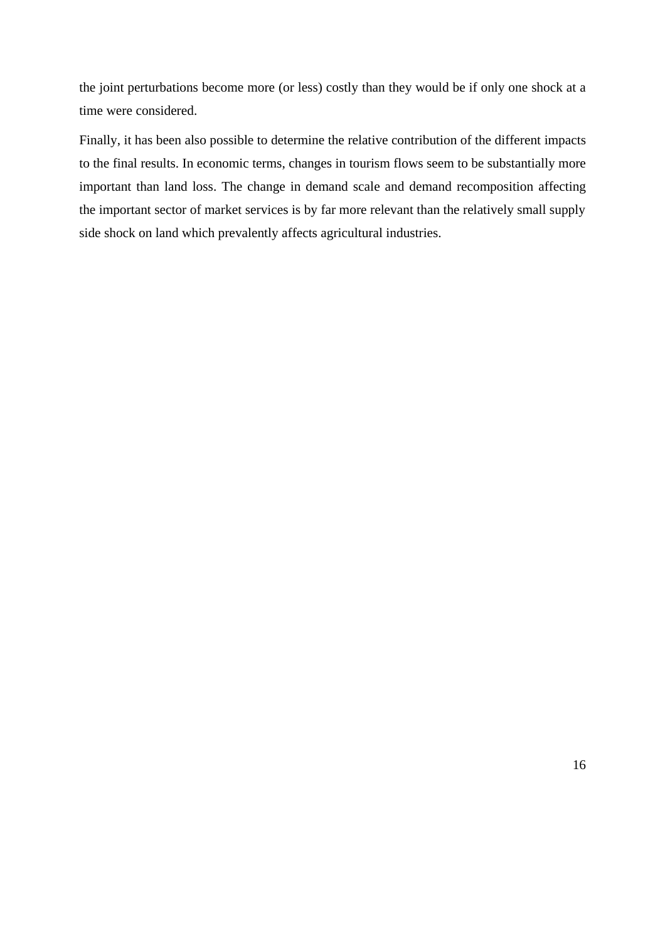the joint perturbations become more (or less) costly than they would be if only one shock at a time were considered.

Finally, it has been also possible to determine the relative contribution of the different impacts to the final results. In economic terms, changes in tourism flows seem to be substantially more important than land loss. The change in demand scale and demand recomposition affecting the important sector of market services is by far more relevant than the relatively small supply side shock on land which prevalently affects agricultural industries.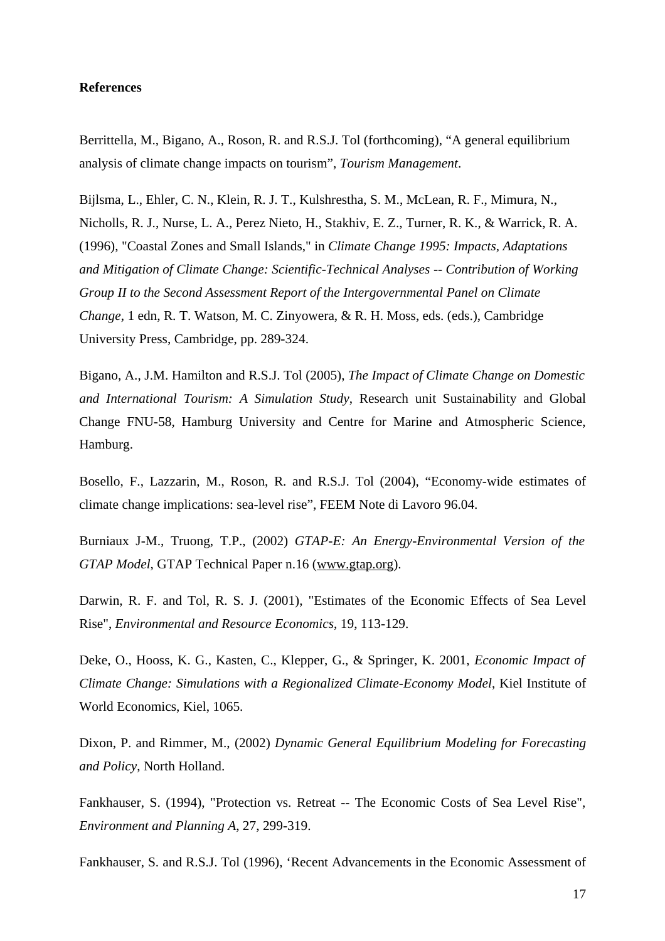# **References**

Berrittella, M., Bigano, A., Roson, R. and R.S.J. Tol (forthcoming), "A general equilibrium analysis of climate change impacts on tourism", *Tourism Management*.

Bijlsma, L., Ehler, C. N., Klein, R. J. T., Kulshrestha, S. M., McLean, R. F., Mimura, N., Nicholls, R. J., Nurse, L. A., Perez Nieto, H., Stakhiv, E. Z., Turner, R. K., & Warrick, R. A. (1996), "Coastal Zones and Small Islands," in *Climate Change 1995: Impacts, Adaptations and Mitigation of Climate Change: Scientific-Technical Analyses -- Contribution of Working Group II to the Second Assessment Report of the Intergovernmental Panel on Climate Change*, 1 edn, R. T. Watson, M. C. Zinyowera, & R. H. Moss, eds. (eds.), Cambridge University Press, Cambridge, pp. 289-324.

Bigano, A., J.M. Hamilton and R.S.J. Tol (2005), *The Impact of Climate Change on Domestic and International Tourism: A Simulation Study*, Research unit Sustainability and Global Change FNU-58, Hamburg University and Centre for Marine and Atmospheric Science, Hamburg.

Bosello, F., Lazzarin, M., Roson, R. and R.S.J. Tol (2004), "Economy-wide estimates of climate change implications: sea-level rise", FEEM Note di Lavoro 96.04.

Burniaux J-M., Truong, T.P., (2002) *GTAP-E: An Energy-Environmental Version of the GTAP Model*, GTAP Technical Paper n.16 (www.gtap.org).

Darwin, R. F. and Tol, R. S. J. (2001), "Estimates of the Economic Effects of Sea Level Rise", *Environmental and Resource Economics*, 19, 113-129.

Deke, O., Hooss, K. G., Kasten, C., Klepper, G., & Springer, K. 2001, *Economic Impact of Climate Change: Simulations with a Regionalized Climate-Economy Model*, Kiel Institute of World Economics, Kiel, 1065.

Dixon, P. and Rimmer, M., (2002) *Dynamic General Equilibrium Modeling for Forecasting and Policy*, North Holland.

Fankhauser, S. (1994), "Protection vs. Retreat -- The Economic Costs of Sea Level Rise", *Environment and Planning A*, 27, 299-319.

Fankhauser, S. and R.S.J. Tol (1996), 'Recent Advancements in the Economic Assessment of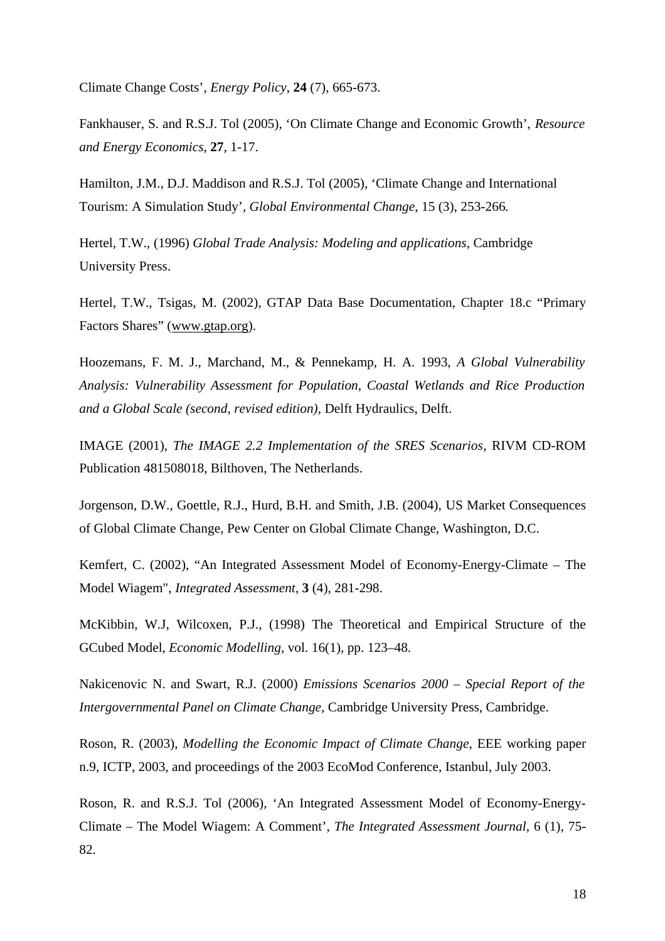Climate Change Costs', *Energy Policy*, **24** (7), 665-673.

Fankhauser, S. and R.S.J. Tol (2005), 'On Climate Change and Economic Growth', *Resource and Energy Economics*, **27**, 1-17.

Hamilton, J.M., D.J. Maddison and R.S.J. Tol (2005), 'Climate Change and International Tourism: A Simulation Study'*, Global Environmental Change*, 15 (3), 253-266*.*

Hertel, T.W., (1996) *Global Trade Analysis: Modeling and applications*, Cambridge University Press.

Hertel, T.W., Tsigas, M. (2002), GTAP Data Base Documentation, Chapter 18.c "Primary Factors Shares" (www.gtap.org).

Hoozemans, F. M. J., Marchand, M., & Pennekamp, H. A. 1993, *A Global Vulnerability Analysis: Vulnerability Assessment for Population, Coastal Wetlands and Rice Production and a Global Scale (second, revised edition)*, Delft Hydraulics, Delft.

IMAGE (2001), *The IMAGE 2.2 Implementation of the SRES Scenarios*, RIVM CD-ROM Publication 481508018, Bilthoven, The Netherlands.

Jorgenson, D.W., Goettle, R.J., Hurd, B.H. and Smith, J.B. (2004), US Market Consequences of Global Climate Change, Pew Center on Global Climate Change, Washington, D.C.

Kemfert, C. (2002), "An Integrated Assessment Model of Economy-Energy-Climate – The Model Wiagem", *Integrated Assessment*, **3** (4), 281-298.

McKibbin, W.J, Wilcoxen, P.J., (1998) The Theoretical and Empirical Structure of the GCubed Model, *Economic Modelling*, vol. 16(1), pp. 123–48.

Nakicenovic N. and Swart, R.J. (2000) *Emissions Scenarios 2000 – Special Report of the Intergovernmental Panel on Climate Change*, Cambridge University Press, Cambridge.

Roson, R. (2003), *Modelling the Economic Impact of Climate Change*, EEE working paper n.9, ICTP, 2003, and proceedings of the 2003 EcoMod Conference, Istanbul, July 2003.

Roson, R. and R.S.J. Tol (2006), 'An Integrated Assessment Model of Economy-Energy-Climate – The Model Wiagem: A Comment', *The Integrated Assessment Journal*, 6 (1), 75- 82.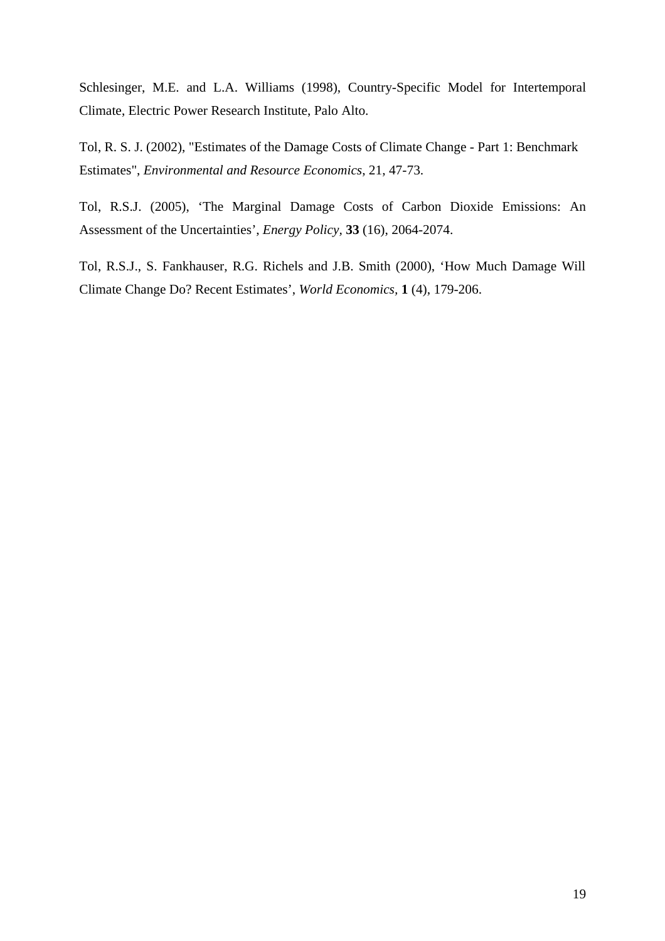Schlesinger, M.E. and L.A. Williams (1998), Country-Specific Model for Intertemporal Climate, Electric Power Research Institute, Palo Alto.

Tol, R. S. J. (2002), "Estimates of the Damage Costs of Climate Change - Part 1: Benchmark Estimates", *Environmental and Resource Economics*, 21, 47-73.

Tol, R.S.J. (2005), 'The Marginal Damage Costs of Carbon Dioxide Emissions: An Assessment of the Uncertainties', *Energy Policy,* **33** (16), 2064-2074.

Tol, R.S.J., S. Fankhauser, R.G. Richels and J.B. Smith (2000), 'How Much Damage Will Climate Change Do? Recent Estimates', *World Economics,* **1** (4), 179-206.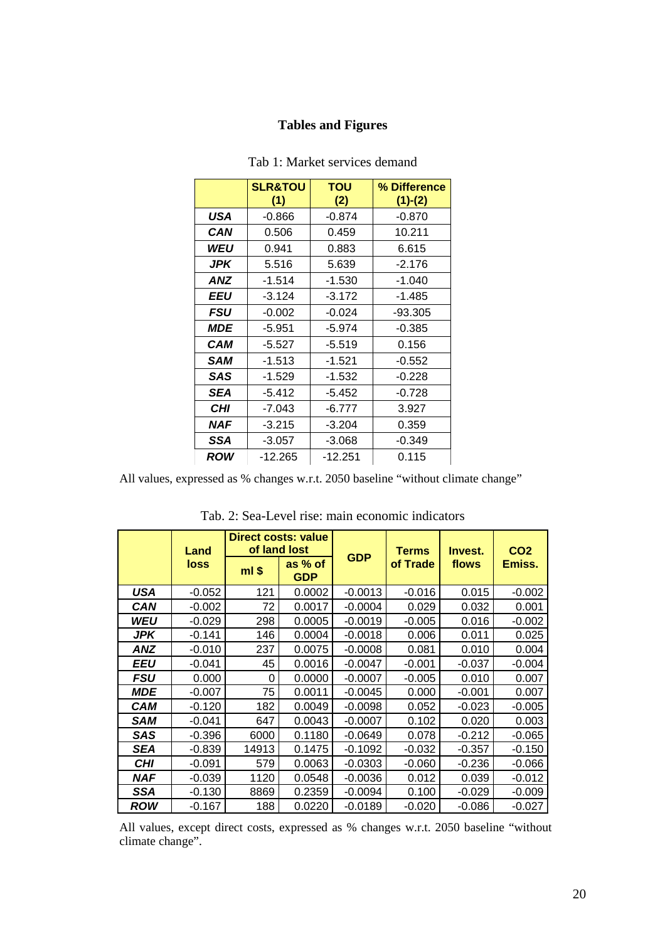# **Tables and Figures**

|            | <b>SLR&amp;TOU</b><br>(1) | <b>TOU</b><br>(2) | % Difference<br>$(1)-(2)$ |
|------------|---------------------------|-------------------|---------------------------|
| USA        | $-0.866$                  | $-0.874$          | $-0.870$                  |
| CAN        | 0.506                     | 0.459             | 10.211                    |
| WEU        | 0.941                     | 0.883             | 6.615                     |
| <b>JPK</b> | 5.516                     | 5.639             | $-2.176$                  |
| ANZ        | $-1.514$                  | $-1.530$          | $-1.040$                  |
| EEU        | $-3.124$                  | $-3.172$          | $-1.485$                  |
| FSU        | $-0.002$                  | $-0.024$          | -93.305                   |
| <i>MDE</i> | $-5.951$                  | $-5.974$          | $-0.385$                  |
| CAM        | $-5.527$                  | $-5.519$          | 0.156                     |
| SAM        | $-1.513$                  | $-1.521$          | $-0.552$                  |
| SAS        | $-1.529$                  | $-1.532$          | $-0.228$                  |
| <b>SEA</b> | $-5.412$                  | $-5.452$          | $-0.728$                  |
| <b>CHI</b> | $-7.043$                  | $-6.777$          | 3.927                     |
| <b>NAF</b> | $-3.215$                  | $-3.204$          | 0.359                     |
| SSA        | $-3.057$                  | $-3.068$          | $-0.349$                  |
| <b>ROW</b> | $-12.265$                 | $-12.251$         | 0.115                     |

#### Tab 1: Market services demand

All values, expressed as % changes w.r.t. 2050 baseline "without climate change"

|            | Land        |         | <b>Direct costs: value</b><br>of land lost |            | <b>Terms</b> | Invest.  | CO <sub>2</sub> |
|------------|-------------|---------|--------------------------------------------|------------|--------------|----------|-----------------|
|            | <b>loss</b> | $ml$ \$ | as % of<br><b>GDP</b>                      | <b>GDP</b> | of Trade     | flows    | Emiss.          |
| <b>USA</b> | $-0.052$    | 121     | 0.0002                                     | $-0.0013$  | $-0.016$     | 0.015    | $-0.002$        |
| CAN        | $-0.002$    | 72      | 0.0017                                     | $-0.0004$  | 0.029        | 0.032    | 0.001           |
| WEU        | $-0.029$    | 298     | 0.0005                                     | $-0.0019$  | $-0.005$     | 0.016    | $-0.002$        |
| JPK        | $-0.141$    | 146     | 0.0004                                     | $-0.0018$  | 0.006        | 0.011    | 0.025           |
| ANZ        | $-0.010$    | 237     | 0.0075                                     | $-0.0008$  | 0.081        | 0.010    | 0.004           |
| EEU        | $-0.041$    | 45      | 0.0016                                     | $-0.0047$  | $-0.001$     | -0.037   | $-0.004$        |
| <b>FSU</b> | 0.000       | 0       | 0.0000                                     | $-0.0007$  | $-0.005$     | 0.010    | 0.007           |
| <b>MDE</b> | $-0.007$    | 75      | 0.0011                                     | $-0.0045$  | 0.000        | $-0.001$ | 0.007           |
| CAM        | $-0.120$    | 182     | 0.0049                                     | $-0.0098$  | 0.052        | $-0.023$ | $-0.005$        |
| SAM        | $-0.041$    | 647     | 0.0043                                     | $-0.0007$  | 0.102        | 0.020    | 0.003           |
| SAS        | $-0.396$    | 6000    | 0.1180                                     | $-0.0649$  | 0.078        | $-0.212$ | $-0.065$        |
| SEA        | $-0.839$    | 14913   | 0.1475                                     | $-0.1092$  | $-0.032$     | $-0.357$ | $-0.150$        |
| <b>CHI</b> | $-0.091$    | 579     | 0.0063                                     | $-0.0303$  | $-0.060$     | $-0.236$ | $-0.066$        |
| <b>NAF</b> | $-0.039$    | 1120    | 0.0548                                     | $-0.0036$  | 0.012        | 0.039    | $-0.012$        |
| SSA        | $-0.130$    | 8869    | 0.2359                                     | $-0.0094$  | 0.100        | $-0.029$ | $-0.009$        |
| <b>ROW</b> | $-0.167$    | 188     | 0.0220                                     | $-0.0189$  | $-0.020$     | $-0.086$ | $-0.027$        |

Tab. 2: Sea-Level rise: main economic indicators

All values, except direct costs, expressed as % changes w.r.t. 2050 baseline "without climate change".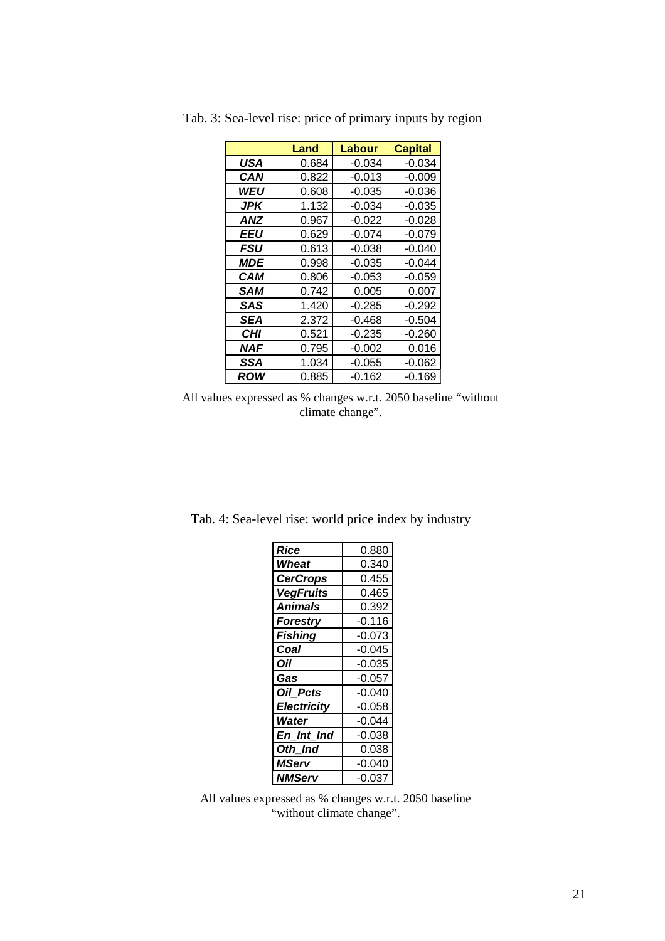|                   | Land  | Labour   | <b>Capital</b> |
|-------------------|-------|----------|----------------|
| USA               | 0.684 | $-0.034$ | $-0.034$       |
| CAN               | 0.822 | $-0.013$ | $-0.009$       |
| WEU               | 0.608 | $-0.035$ | $-0.036$       |
| JPK               | 1.132 | $-0.034$ | $-0.035$       |
| <b>ANZ</b>        | 0.967 | $-0.022$ | $-0.028$       |
| EEU               | 0.629 | $-0.074$ | $-0.079$       |
| FSU               | 0.613 | $-0.038$ | $-0.040$       |
| <i><b>MDE</b></i> | 0.998 | $-0.035$ | -0.044         |
| CAM               | 0.806 | $-0.053$ | $-0.059$       |
| <b>SAM</b>        | 0.742 | 0.005    | 0.007          |
| SAS               | 1.420 | $-0.285$ | $-0.292$       |
| SEA               | 2.372 | $-0.468$ | $-0.504$       |
| CHI               | 0.521 | $-0.235$ | $-0.260$       |
| NAF               | 0.795 | $-0.002$ | 0.016          |
| SSA               | 1.034 | $-0.055$ | $-0.062$       |
| <b>ROW</b>        | 0.885 | -0.162   | -0.169         |

Tab. 3: Sea-level rise: price of primary inputs by region

All values expressed as % changes w.r.t. 2050 baseline "without climate change".

Tab. 4: Sea-level rise: world price index by industry

| Rice               | 0.880    |
|--------------------|----------|
| Wheat              | 0.340    |
| <b>CerCrops</b>    | 0.455    |
| <b>VegFruits</b>   | 0.465    |
| <b>Animals</b>     | 0.392    |
| <b>Forestry</b>    | $-0.116$ |
| <b>Fishing</b>     | $-0.073$ |
| Coal               | $-0.045$ |
| Oil                | $-0.035$ |
| Gas                | $-0.057$ |
| Oil Pcts           | $-0.040$ |
| <b>Electricity</b> | $-0.058$ |
| Water              | $-0.044$ |
| En Int Ind         | $-0.038$ |
| Oth Ind            | 0.038    |
| MServ              | -0.040   |
| NMServ             | -0.037   |

All values expressed as % changes w.r.t. 2050 baseline "without climate change".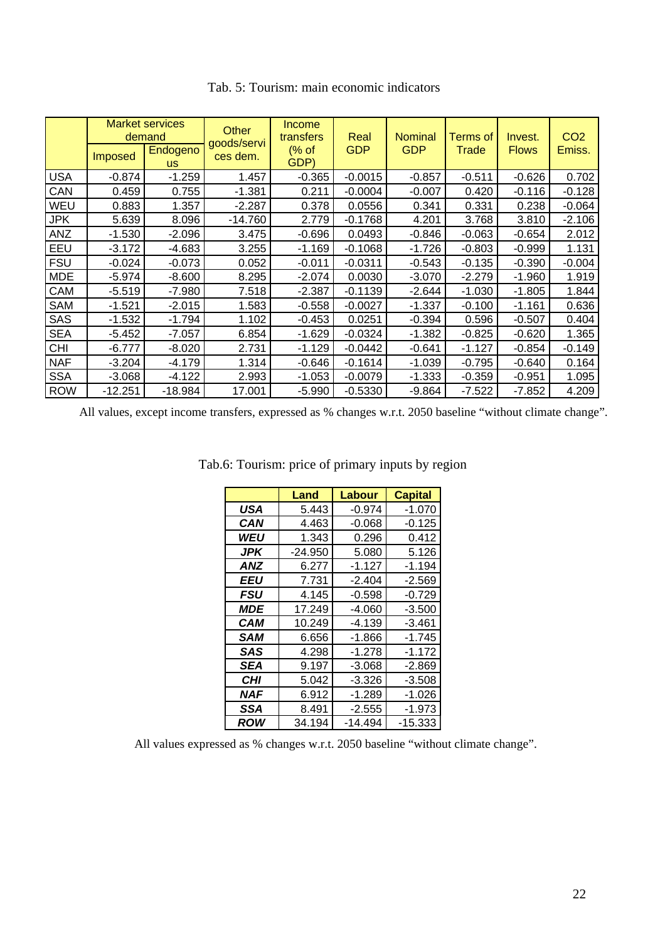|            |                | <b>Market services</b><br>demand | <b>Other</b><br>goods/servi | Income<br>transfers | Real       | <b>Nominal</b> | <b>Terms of</b> | Invest.      | CO <sub>2</sub> |
|------------|----------------|----------------------------------|-----------------------------|---------------------|------------|----------------|-----------------|--------------|-----------------|
|            | <b>Imposed</b> | Endogeno<br><b>us</b>            | ces dem.                    | $%$ of<br>GDP)      | <b>GDP</b> | <b>GDP</b>     | Trade           | <b>Flows</b> | Emiss.          |
| <b>USA</b> | $-0.874$       | $-1.259$                         | 1.457                       | $-0.365$            | $-0.0015$  | $-0.857$       | $-0.511$        | $-0.626$     | 0.702           |
| CAN        | 0.459          | 0.755                            | $-1.381$                    | 0.211               | $-0.0004$  | $-0.007$       | 0.420           | $-0.116$     | $-0.128$        |
| WEU        | 0.883          | 1.357                            | $-2.287$                    | 0.378               | 0.0556     | 0.341          | 0.331           | 0.238        | $-0.064$        |
| <b>JPK</b> | 5.639          | 8.096                            | $-14.760$                   | 2.779               | $-0.1768$  | 4.201          | 3.768           | 3.810        | $-2.106$        |
| ANZ        | $-1.530$       | $-2.096$                         | 3.475                       | $-0.696$            | 0.0493     | $-0.846$       | $-0.063$        | $-0.654$     | 2.012           |
| EEU        | $-3.172$       | $-4.683$                         | 3.255                       | $-1.169$            | $-0.1068$  | $-1.726$       | $-0.803$        | $-0.999$     | 1.131           |
| <b>FSU</b> | $-0.024$       | $-0.073$                         | 0.052                       | $-0.011$            | $-0.0311$  | $-0.543$       | $-0.135$        | $-0.390$     | $-0.004$        |
| <b>MDE</b> | $-5.974$       | $-8.600$                         | 8.295                       | $-2.074$            | 0.0030     | $-3.070$       | $-2.279$        | $-1.960$     | 1.919           |
| CAM        | $-5.519$       | $-7.980$                         | 7.518                       | $-2.387$            | $-0.1139$  | $-2.644$       | $-1.030$        | $-1.805$     | 1.844           |
| <b>SAM</b> | $-1.521$       | $-2.015$                         | 1.583                       | $-0.558$            | $-0.0027$  | $-1.337$       | $-0.100$        | $-1.161$     | 0.636           |
| <b>SAS</b> | $-1.532$       | $-1.794$                         | 1.102                       | $-0.453$            | 0.0251     | $-0.394$       | 0.596           | $-0.507$     | 0.404           |
| <b>SEA</b> | $-5.452$       | $-7.057$                         | 6.854                       | $-1.629$            | $-0.0324$  | $-1.382$       | $-0.825$        | $-0.620$     | 1.365           |
| CHI        | $-6.777$       | $-8.020$                         | 2.731                       | $-1.129$            | $-0.0442$  | $-0.641$       | $-1.127$        | $-0.854$     | $-0.149$        |
| <b>NAF</b> | $-3.204$       | $-4.179$                         | 1.314                       | $-0.646$            | $-0.1614$  | $-1.039$       | $-0.795$        | $-0.640$     | 0.164           |
| <b>SSA</b> | $-3.068$       | $-4.122$                         | 2.993                       | $-1.053$            | $-0.0079$  | $-1.333$       | $-0.359$        | $-0.951$     | 1.095           |
| <b>ROW</b> | $-12.251$      | $-18.984$                        | 17.001                      | $-5.990$            | $-0.5330$  | $-9.864$       | $-7.522$        | $-7.852$     | 4.209           |

Tab. 5: Tourism: main economic indicators

All values, except income transfers, expressed as % changes w.r.t. 2050 baseline "without climate change".

|                   | Land      | Labour   | <b>Capital</b> |
|-------------------|-----------|----------|----------------|
| USA               | 5.443     | $-0.974$ | $-1.070$       |
| CAN               | 4.463     | $-0.068$ | $-0.125$       |
| WEU               | 1.343     | 0.296    | 0.412          |
| <b>JPK</b>        | $-24.950$ | 5.080    | 5.126          |
| ANZ               | 6.277     | $-1.127$ | $-1.194$       |
| <b>EEU</b>        | 7.731     | $-2.404$ | $-2.569$       |
| <b>FSU</b>        | 4.145     | $-0.598$ | $-0.729$       |
| <i><b>MDE</b></i> | 17.249    | $-4.060$ | $-3.500$       |
| CAM               | 10.249    | $-4.139$ | $-3.461$       |
| SAM               | 6.656     | $-1.866$ | $-1.745$       |
| SAS               | 4.298     | -1.278   | $-1.172$       |
| SEA               | 9.197     | $-3.068$ | $-2.869$       |
| CHI               | 5.042     | $-3.326$ | $-3.508$       |
| NAF               | 6.912     | $-1.289$ | $-1.026$       |
| SSA               | 8.491     | $-2.555$ | $-1.973$       |
| ROW               | 34.194    | -14.494  | -15.333        |

Tab.6: Tourism: price of primary inputs by region

All values expressed as % changes w.r.t. 2050 baseline "without climate change".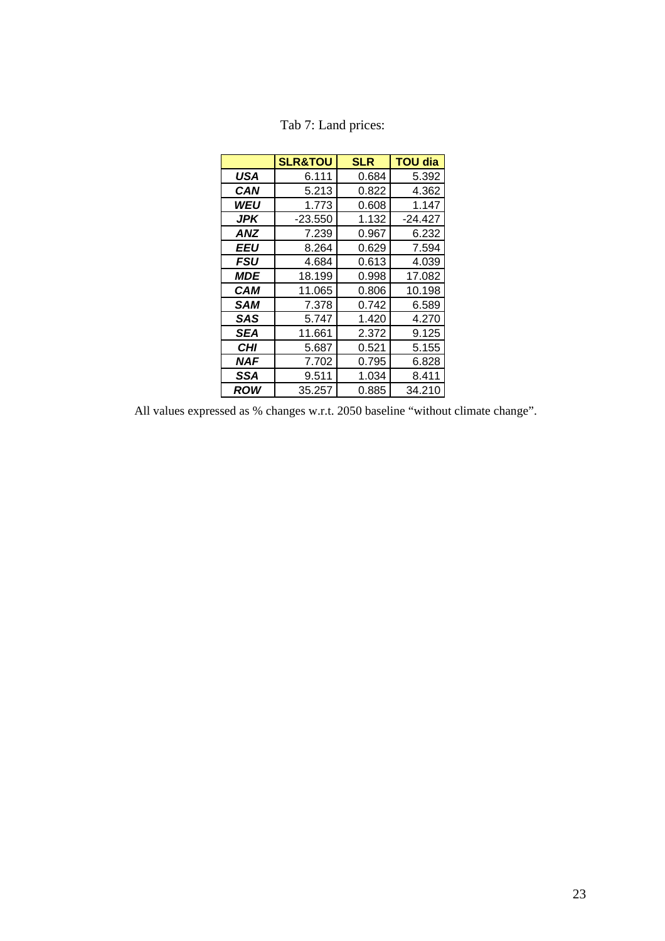|            | <b>SLR&amp;TOU</b> | <b>SLR</b> | <b>TOU dia</b> |
|------------|--------------------|------------|----------------|
| USA        | 6.111              | 0.684      | 5.392          |
| CAN        | 5.213              | 0.822      | 4.362          |
| WEU        | 1.773              | 0.608      | 1.147          |
| JPK        | $-23.550$          | 1.132      | $-24.427$      |
| ANZ        | 7.239              | 0.967      | 6.232          |
| EEU        | 8.264              | 0.629      | 7.594          |
| FSU        | 4.684              | 0.613      | 4.039          |
| <b>MDE</b> | 18.199             | 0.998      | 17.082         |
| CAM        | 11.065             | 0.806      | 10.198         |
| SAM        | 7.378              | 0.742      | 6.589          |
| SAS        | 5.747              | 1.420      | 4.270          |
| SEA        | 11.661             | 2.372      | 9.125          |
| CHI        | 5.687              | 0.521      | 5.155          |
| NAF        | 7.702              | 0.795      | 6.828          |
| <b>SSA</b> | 9.511              | 1.034      | 8.411          |
| ROW        | 35.257             | 0.885      | 34.210         |

# Tab 7: Land prices:

All values expressed as % changes w.r.t. 2050 baseline "without climate change".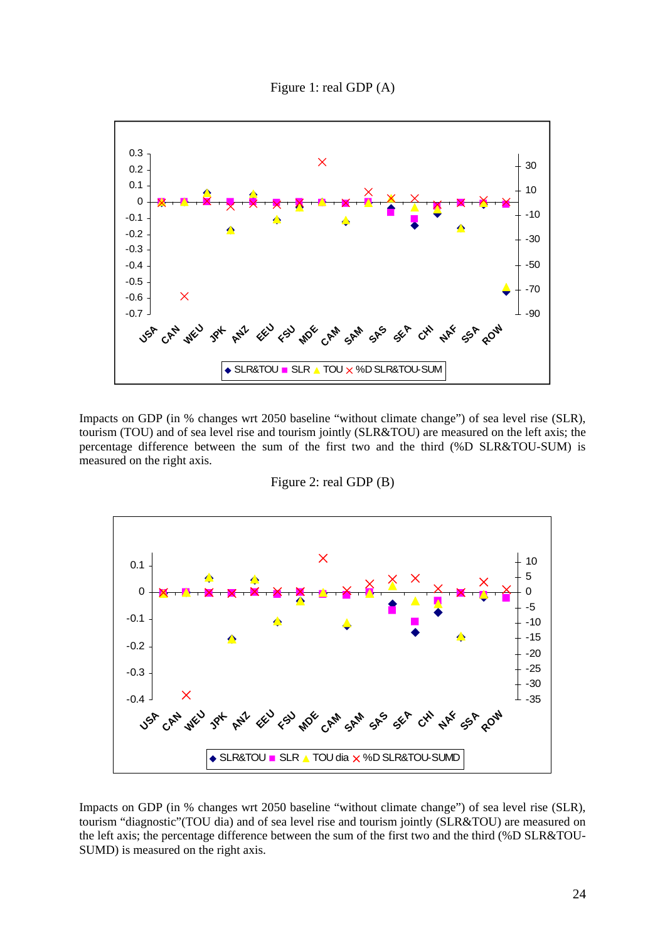Figure 1: real GDP (A)



Impacts on GDP (in % changes wrt 2050 baseline "without climate change") of sea level rise (SLR), tourism (TOU) and of sea level rise and tourism jointly (SLR&TOU) are measured on the left axis; the percentage difference between the sum of the first two and the third (%D SLR&TOU-SUM) is measured on the right axis.



Figure 2: real GDP (B)

Impacts on GDP (in % changes wrt 2050 baseline "without climate change") of sea level rise (SLR), tourism "diagnostic"(TOU dia) and of sea level rise and tourism jointly (SLR&TOU) are measured on the left axis; the percentage difference between the sum of the first two and the third (%D SLR&TOU-SUMD) is measured on the right axis.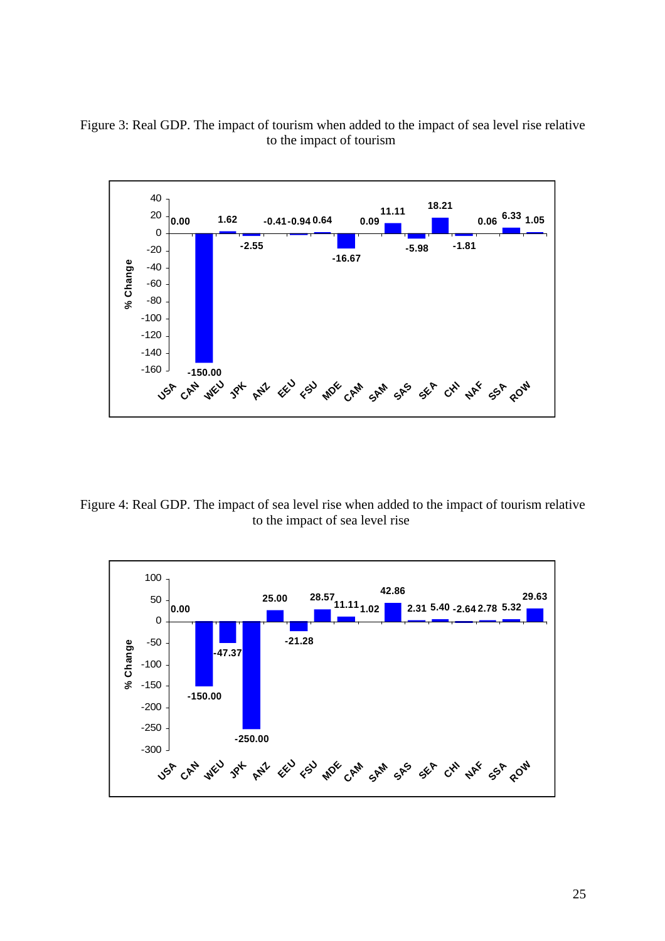



Figure 4: Real GDP. The impact of sea level rise when added to the impact of tourism relative to the impact of sea level rise

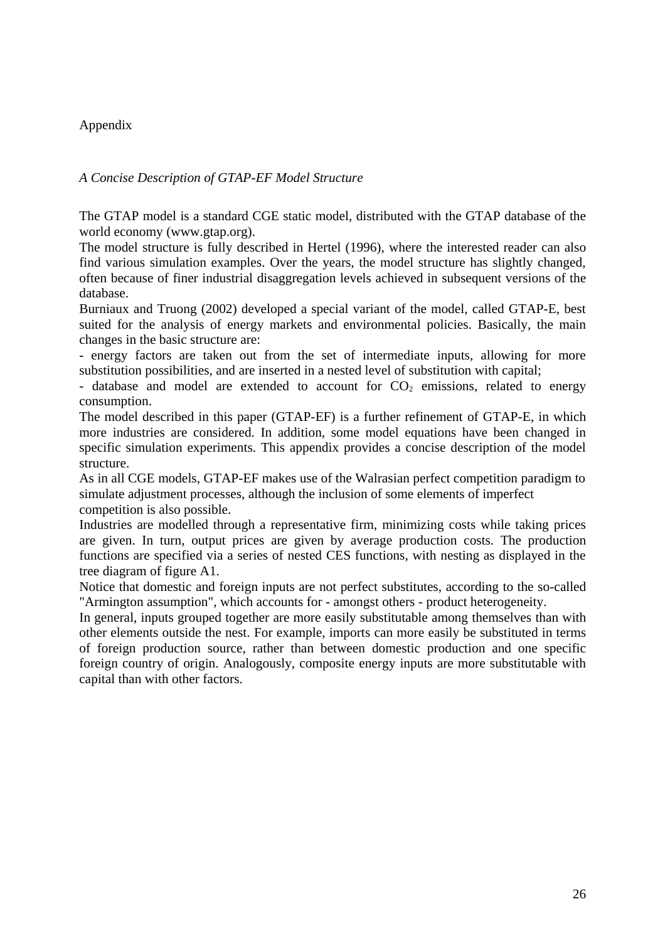# Appendix

# *A Concise Description of GTAP-EF Model Structure*

The GTAP model is a standard CGE static model, distributed with the GTAP database of the world economy (www.gtap.org).

The model structure is fully described in Hertel (1996), where the interested reader can also find various simulation examples. Over the years, the model structure has slightly changed, often because of finer industrial disaggregation levels achieved in subsequent versions of the database.

Burniaux and Truong (2002) developed a special variant of the model, called GTAP-E, best suited for the analysis of energy markets and environmental policies. Basically, the main changes in the basic structure are:

- energy factors are taken out from the set of intermediate inputs, allowing for more substitution possibilities, and are inserted in a nested level of substitution with capital;

- database and model are extended to account for  $CO<sub>2</sub>$  emissions, related to energy consumption.

The model described in this paper (GTAP-EF) is a further refinement of GTAP-E, in which more industries are considered. In addition, some model equations have been changed in specific simulation experiments. This appendix provides a concise description of the model structure.

As in all CGE models, GTAP-EF makes use of the Walrasian perfect competition paradigm to simulate adjustment processes, although the inclusion of some elements of imperfect competition is also possible.

Industries are modelled through a representative firm, minimizing costs while taking prices are given. In turn, output prices are given by average production costs. The production functions are specified via a series of nested CES functions, with nesting as displayed in the tree diagram of figure A1.

Notice that domestic and foreign inputs are not perfect substitutes, according to the so-called "Armington assumption", which accounts for - amongst others - product heterogeneity.

In general, inputs grouped together are more easily substitutable among themselves than with other elements outside the nest. For example, imports can more easily be substituted in terms of foreign production source, rather than between domestic production and one specific foreign country of origin. Analogously, composite energy inputs are more substitutable with capital than with other factors.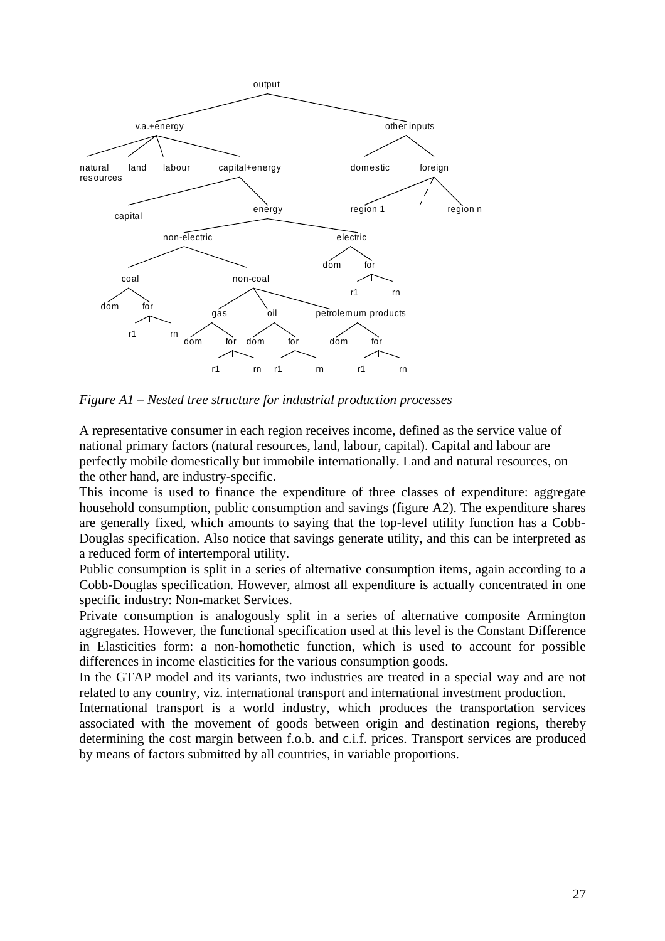

*Figure A1 – Nested tree structure for industrial production processes*

A representative consumer in each region receives income, defined as the service value of national primary factors (natural resources, land, labour, capital). Capital and labour are perfectly mobile domestically but immobile internationally. Land and natural resources, on the other hand, are industry-specific.

This income is used to finance the expenditure of three classes of expenditure: aggregate household consumption, public consumption and savings (figure A2). The expenditure shares are generally fixed, which amounts to saying that the top-level utility function has a Cobb-Douglas specification. Also notice that savings generate utility, and this can be interpreted as a reduced form of intertemporal utility.

Public consumption is split in a series of alternative consumption items, again according to a Cobb-Douglas specification. However, almost all expenditure is actually concentrated in one specific industry: Non-market Services.

Private consumption is analogously split in a series of alternative composite Armington aggregates. However, the functional specification used at this level is the Constant Difference in Elasticities form: a non-homothetic function, which is used to account for possible differences in income elasticities for the various consumption goods.

In the GTAP model and its variants, two industries are treated in a special way and are not related to any country, viz. international transport and international investment production.

International transport is a world industry, which produces the transportation services associated with the movement of goods between origin and destination regions, thereby determining the cost margin between f.o.b. and c.i.f. prices. Transport services are produced by means of factors submitted by all countries, in variable proportions.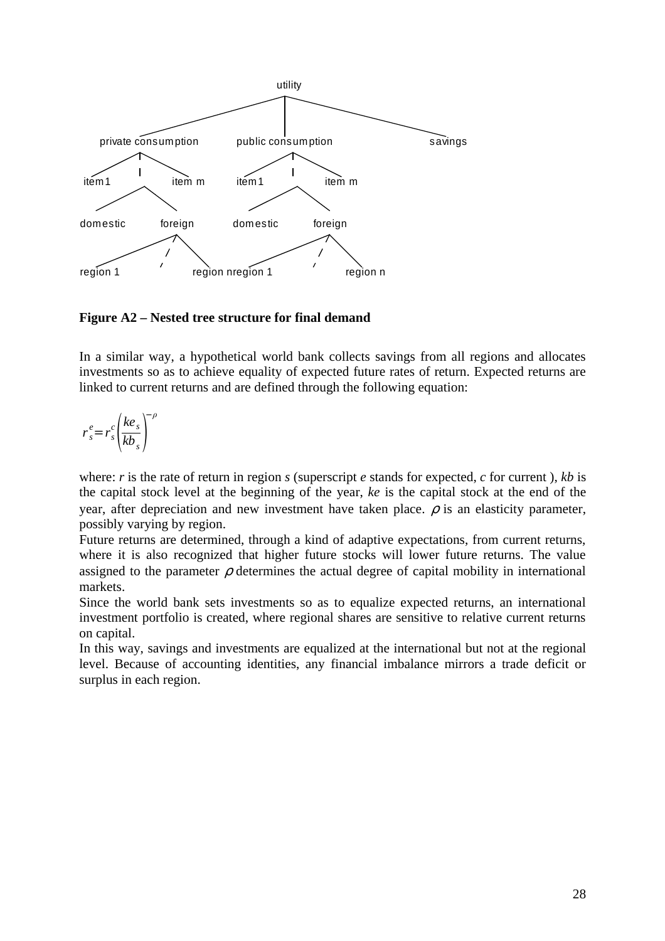

# **Figure A2 – Nested tree structure for final demand**

In a similar way, a hypothetical world bank collects savings from all regions and allocates investments so as to achieve equality of expected future rates of return. Expected returns are linked to current returns and are defined through the following equation:

$$
r_s^e = r_s^c \left(\frac{ke_s}{kb_s}\right)^{-\rho}
$$

where: *r* is the rate of return in region *s* (superscript *e* stands for expected, *c* for current ), *kb* is the capital stock level at the beginning of the year, *ke* is the capital stock at the end of the year, after depreciation and new investment have taken place.  $\rho$  is an elasticity parameter, possibly varying by region.

Future returns are determined, through a kind of adaptive expectations, from current returns, where it is also recognized that higher future stocks will lower future returns. The value assigned to the parameter  $\rho$  determines the actual degree of capital mobility in international markets.

Since the world bank sets investments so as to equalize expected returns, an international investment portfolio is created, where regional shares are sensitive to relative current returns on capital.

In this way, savings and investments are equalized at the international but not at the regional level. Because of accounting identities, any financial imbalance mirrors a trade deficit or surplus in each region.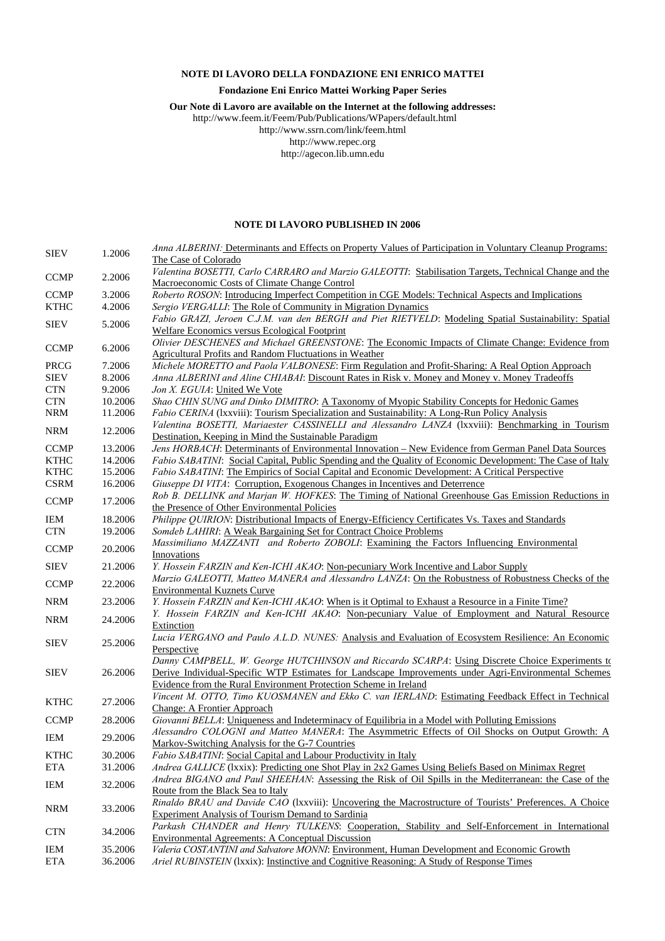#### **NOTE DI LAVORO DELLA FONDAZIONE ENI ENRICO MATTEI**

#### **Fondazione Eni Enrico Mattei Working Paper Series**

**Our Note di Lavoro are available on the Internet at the following addresses:** 

http://www.feem.it/Feem/Pub/Publications/WPapers/default.html

http://www.ssrn.com/link/feem.html

http://www.repec.org

http://agecon.lib.umn.edu

#### **NOTE DI LAVORO PUBLISHED IN 2006**

| <b>SIEV</b> | 1.2006  | Anna ALBERINI: Determinants and Effects on Property Values of Participation in Voluntary Cleanup Programs: |
|-------------|---------|------------------------------------------------------------------------------------------------------------|
|             |         | The Case of Colorado                                                                                       |
|             |         | Valentina BOSETTI, Carlo CARRARO and Marzio GALEOTTI: Stabilisation Targets, Technical Change and the      |
| <b>CCMP</b> | 2.2006  | Macroeconomic Costs of Climate Change Control                                                              |
| <b>CCMP</b> | 3.2006  | Roberto ROSON: Introducing Imperfect Competition in CGE Models: Technical Aspects and Implications         |
| <b>KTHC</b> | 4.2006  | Sergio VERGALLI: The Role of Community in Migration Dynamics                                               |
|             |         | Fabio GRAZI, Jeroen C.J.M. van den BERGH and Piet RIETVELD: Modeling Spatial Sustainability: Spatial       |
| <b>SIEV</b> | 5.2006  | Welfare Economics versus Ecological Footprint                                                              |
|             |         | Olivier DESCHENES and Michael GREENSTONE: The Economic Impacts of Climate Change: Evidence from            |
| <b>CCMP</b> | 6.2006  | <b>Agricultural Profits and Random Fluctuations in Weather</b>                                             |
| PRCG        | 7.2006  | Michele MORETTO and Paola VALBONESE: Firm Regulation and Profit-Sharing: A Real Option Approach            |
| <b>SIEV</b> | 8.2006  | Anna ALBERINI and Aline CHIABAI: Discount Rates in Risk v. Money and Money v. Money Tradeoffs              |
| <b>CTN</b>  | 9.2006  | Jon X. EGUIA: United We Vote                                                                               |
| <b>CTN</b>  | 10.2006 | Shao CHIN SUNG and Dinko DIMITRO: A Taxonomy of Myopic Stability Concepts for Hedonic Games                |
| <b>NRM</b>  | 11.2006 | <i>Fabio CERINA</i> (Ixxviii): Tourism Specialization and Sustainability: A Long-Run Policy Analysis       |
|             |         | Valentina BOSETTI, Mariaester CASSINELLI and Alessandro LANZA (Ixxviii): Benchmarking in Tourism           |
| <b>NRM</b>  | 12.2006 | Destination, Keeping in Mind the Sustainable Paradigm                                                      |
| <b>CCMP</b> | 13.2006 | Jens HORBACH: Determinants of Environmental Innovation - New Evidence from German Panel Data Sources       |
| <b>KTHC</b> | 14.2006 | Fabio SABATINI: Social Capital, Public Spending and the Quality of Economic Development: The Case of Italy |
| <b>KTHC</b> | 15.2006 | Fabio SABATINI: The Empirics of Social Capital and Economic Development: A Critical Perspective            |
| <b>CSRM</b> | 16.2006 | Giuseppe DI VITA: Corruption, Exogenous Changes in Incentives and Deterrence                               |
|             |         | Rob B. DELLINK and Marjan W. HOFKES: The Timing of National Greenhouse Gas Emission Reductions in          |
| <b>CCMP</b> | 17.2006 | the Presence of Other Environmental Policies                                                               |
| IEM         | 18.2006 | Philippe QUIRION: Distributional Impacts of Energy-Efficiency Certificates Vs. Taxes and Standards         |
| <b>CTN</b>  | 19.2006 | Somdeb LAHIRI: A Weak Bargaining Set for Contract Choice Problems                                          |
|             |         | Massimiliano MAZZANTI and Roberto ZOBOLI: Examining the Factors Influencing Environmental                  |
| <b>CCMP</b> | 20.2006 |                                                                                                            |
|             |         | Innovations                                                                                                |
| <b>SIEV</b> | 21.2006 | Y. Hossein FARZIN and Ken-ICHI AKAO: Non-pecuniary Work Incentive and Labor Supply                         |
|             |         | Marzio GALEOTTI, Matteo MANERA and Alessandro LANZA: On the Robustness of Robustness Checks of the         |
| <b>CCMP</b> | 22.2006 | <b>Environmental Kuznets Curve</b>                                                                         |
| NRM         | 23.2006 | Y. Hossein FARZIN and Ken-ICHI AKAO: When is it Optimal to Exhaust a Resource in a Finite Time?            |
|             |         | Y. Hossein FARZIN and Ken-ICHI AKAO: Non-pecuniary Value of Employment and Natural Resource                |
| <b>NRM</b>  | 24.2006 | Extinction                                                                                                 |
|             |         | Lucia VERGANO and Paulo A.L.D. NUNES: Analysis and Evaluation of Ecosystem Resilience: An Economic         |
| <b>SIEV</b> | 25.2006 | Perspective                                                                                                |
|             |         | Danny CAMPBELL, W. George HUTCHINSON and Riccardo SCARPA: Using Discrete Choice Experiments to             |
| <b>SIEV</b> | 26.2006 | Derive Individual-Specific WTP Estimates for Landscape Improvements under Agri-Environmental Schemes       |
|             |         | Evidence from the Rural Environment Protection Scheme in Ireland                                           |
|             |         | Vincent M. OTTO, Timo KUOSMANEN and Ekko C. van IERLAND: Estimating Feedback Effect in Technical           |
| <b>KTHC</b> | 27.2006 | <b>Change: A Frontier Approach</b>                                                                         |
| <b>CCMP</b> | 28.2006 | Giovanni BELLA: Uniqueness and Indeterminacy of Equilibria in a Model with Polluting Emissions             |
|             |         | Alessandro COLOGNI and Matteo MANERA: The Asymmetric Effects of Oil Shocks on Output Growth: A             |
| IEM         | 29.2006 | Markov-Switching Analysis for the G-7 Countries                                                            |
| <b>KTHC</b> | 30.2006 | Fabio SABATINI: Social Capital and Labour Productivity in Italy                                            |
| <b>ETA</b>  | 31.2006 | Andrea GALLICE (Ixxix): Predicting one Shot Play in 2x2 Games Using Beliefs Based on Minimax Regret        |
|             |         | Andrea BIGANO and Paul SHEEHAN: Assessing the Risk of Oil Spills in the Mediterranean: the Case of the     |
| IEM         | 32.2006 | Route from the Black Sea to Italy                                                                          |
|             |         | Rinaldo BRAU and Davide CAO (Ixxviii): Uncovering the Macrostructure of Tourists' Preferences. A Choice    |
| <b>NRM</b>  | 33.2006 | <b>Experiment Analysis of Tourism Demand to Sardinia</b>                                                   |
|             |         | Parkash CHANDER and Henry TULKENS: Cooperation, Stability and Self-Enforcement in International            |
| <b>CTN</b>  | 34.2006 | <b>Environmental Agreements: A Conceptual Discussion</b>                                                   |
| IEM         | 35.2006 | Valeria COSTANTINI and Salvatore MONNI: Environment, Human Development and Economic Growth                 |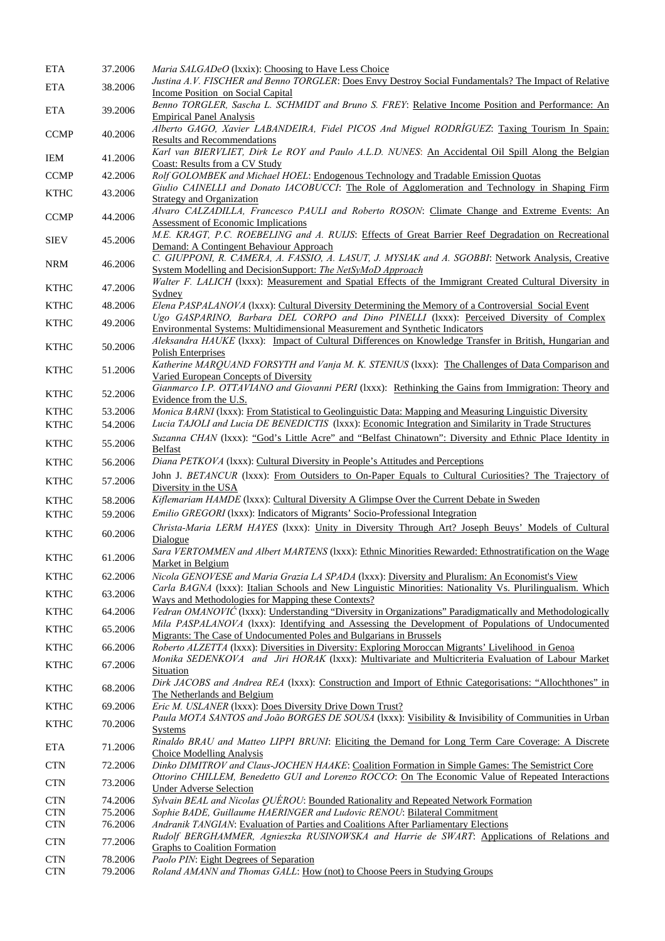| ETA                       | 37.2006            | Maria SALGADeO (Ixxix): Choosing to Have Less Choice                                                                                                                                                          |
|---------------------------|--------------------|---------------------------------------------------------------------------------------------------------------------------------------------------------------------------------------------------------------|
| <b>ETA</b>                | 38.2006            | Justina A.V. FISCHER and Benno TORGLER: Does Envy Destroy Social Fundamentals? The Impact of Relative                                                                                                         |
| <b>ETA</b>                | 39.2006            | <b>Income Position on Social Capital</b><br>Benno TORGLER, Sascha L. SCHMIDT and Bruno S. FREY: Relative Income Position and Performance: An<br><b>Empirical Panel Analysis</b>                               |
|                           |                    | Alberto GAGO, Xavier LABANDEIRA, Fidel PICOS And Miguel RODRIGUEZ: Taxing Tourism In Spain:                                                                                                                   |
| <b>CCMP</b>               | 40.2006            | <b>Results and Recommendations</b>                                                                                                                                                                            |
| IEM                       | 41.2006            | Karl van BIERVLIET, Dirk Le ROY and Paulo A.L.D. NUNES: An Accidental Oil Spill Along the Belgian                                                                                                             |
| <b>CCMP</b>               | 42.2006            | Coast: Results from a CV Study<br>Rolf GOLOMBEK and Michael HOEL: Endogenous Technology and Tradable Emission Quotas                                                                                          |
|                           |                    | Giulio CAINELLI and Donato IACOBUCCI: The Role of Agglomeration and Technology in Shaping Firm                                                                                                                |
| <b>KTHC</b>               | 43.2006            | <b>Strategy and Organization</b>                                                                                                                                                                              |
| <b>CCMP</b>               | 44.2006            | Alvaro CALZADILLA, Francesco PAULI and Roberto ROSON: Climate Change and Extreme Events: An<br>Assessment of Economic Implications                                                                            |
| <b>SIEV</b>               | 45.2006            | M.E. KRAGT, P.C. ROEBELING and A. RUIJS: Effects of Great Barrier Reef Degradation on Recreational                                                                                                            |
| <b>NRM</b>                | 46.2006            | Demand: A Contingent Behaviour Approach<br>C. GIUPPONI, R. CAMERA, A. FASSIO, A. LASUT, J. MYSIAK and A. SGOBBI: Network Analysis, Creative                                                                   |
|                           |                    | System Modelling and DecisionSupport: The NetSyMoD Approach<br>Walter F. LALICH (Ixxx): Measurement and Spatial Effects of the Immigrant Created Cultural Diversity in                                        |
| <b>KTHC</b>               | 47.2006            | Sydney                                                                                                                                                                                                        |
| <b>KTHC</b>               | 48.2006            | Elena PASPALANOVA (lxxx): Cultural Diversity Determining the Memory of a Controversial Social Event                                                                                                           |
| <b>KTHC</b>               | 49.2006            | Ugo GASPARINO, Barbara DEL CORPO and Dino PINELLI (lxxx): Perceived Diversity of Complex                                                                                                                      |
|                           |                    | Environmental Systems: Multidimensional Measurement and Synthetic Indicators<br>Aleksandra HAUKE (1xxx): Impact of Cultural Differences on Knowledge Transfer in British, Hungarian and                       |
| <b>KTHC</b>               | 50.2006            | <b>Polish Enterprises</b>                                                                                                                                                                                     |
|                           |                    | Katherine MARQUAND FORSYTH and Vanja M. K. STENIUS (1xxx): The Challenges of Data Comparison and                                                                                                              |
| <b>KTHC</b>               | 51.2006            | Varied European Concepts of Diversity                                                                                                                                                                         |
| <b>KTHC</b>               | 52.2006            | Gianmarco I.P. OTTAVIANO and Giovanni PERI (lxxx): Rethinking the Gains from Immigration: Theory and                                                                                                          |
| <b>KTHC</b>               | 53.2006            | Evidence from the U.S.<br><i>Monica BARNI</i> (Ixxx): From Statistical to Geolinguistic Data: Mapping and Measuring Linguistic Diversity                                                                      |
| <b>KTHC</b>               | 54.2006            | Lucia TAJOLI and Lucia DE BENEDICTIS (Ixxx): Economic Integration and Similarity in Trade Structures                                                                                                          |
|                           |                    | Suzanna CHAN (1xxx): "God's Little Acre" and "Belfast Chinatown": Diversity and Ethnic Place Identity in                                                                                                      |
| <b>KTHC</b>               | 55.2006            | <b>Belfast</b>                                                                                                                                                                                                |
| <b>KTHC</b>               | 56.2006            | Diana PETKOVA (Ixxx): Cultural Diversity in People's Attitudes and Perceptions                                                                                                                                |
| <b>KTHC</b>               | 57.2006            | John J. BETANCUR (Ixxx): From Outsiders to On-Paper Equals to Cultural Curiosities? The Trajectory of                                                                                                         |
| <b>KTHC</b>               | 58.2006            | Diversity in the USA<br>Kiflemariam HAMDE (Ixxx): Cultural Diversity A Glimpse Over the Current Debate in Sweden                                                                                              |
|                           | 59.2006            | Emilio GREGORI (Ixxx): Indicators of Migrants' Socio-Professional Integration                                                                                                                                 |
| <b>KTHC</b>               |                    | Christa-Maria LERM HAYES (1xxx): Unity in Diversity Through Art? Joseph Beuys' Models of Cultural                                                                                                             |
| <b>KTHC</b>               | 60.2006            | Dialogue<br>Sara VERTOMMEN and Albert MARTENS (1xxx): Ethnic Minorities Rewarded: Ethnostratification on the Wage                                                                                             |
| <b>KTHC</b>               | 61.2006            | Market in Belgium                                                                                                                                                                                             |
| <b>KTHC</b>               | 62.2006            | Nicola GENOVESE and Maria Grazia LA SPADA (Ixxx): Diversity and Pluralism: An Economist's View                                                                                                                |
| <b>KTHC</b>               | 63.2006            | Carla BAGNA (Ixxx): Italian Schools and New Linguistic Minorities: Nationality Vs. Plurilingualism. Which                                                                                                     |
|                           |                    | Ways and Methodologies for Mapping these Contexts?                                                                                                                                                            |
| <b>KTHC</b>               | 64.2006            | Vedran OMANOVIĆ (Ixxx): Understanding "Diversity in Organizations" Paradigmatically and Methodologically<br>Mila PASPALANOVA (lxxx): Identifying and Assessing the Development of Populations of Undocumented |
| <b>KTHC</b>               | 65.2006            | Migrants: The Case of Undocumented Poles and Bulgarians in Brussels                                                                                                                                           |
| <b>KTHC</b>               | 66.2006            | Roberto ALZETTA (Ixxx): Diversities in Diversity: Exploring Moroccan Migrants' Livelihood in Genoa                                                                                                            |
| <b>KTHC</b>               | 67.2006            | Monika SEDENKOVA and Jiri HORAK (1xxx): Multivariate and Multicriteria Evaluation of Labour Market                                                                                                            |
|                           |                    | Situation<br>Dirk JACOBS and Andrea REA (1xxx): Construction and Import of Ethnic Categorisations: "Allochthones" in                                                                                          |
| <b>KTHC</b>               | 68.2006            | The Netherlands and Belgium                                                                                                                                                                                   |
| <b>KTHC</b>               | 69.2006            | Eric M. USLANER (Ixxx): Does Diversity Drive Down Trust?                                                                                                                                                      |
| <b>KTHC</b>               | 70.2006            | Paula MOTA SANTOS and João BORGES DE SOUSA (1xxx): Visibility & Invisibility of Communities in Urban                                                                                                          |
|                           |                    | <b>Systems</b>                                                                                                                                                                                                |
| ETA                       | 71.2006            | Rinaldo BRAU and Matteo LIPPI BRUNI: Eliciting the Demand for Long Term Care Coverage: A Discrete<br>Choice Modelling Analysis                                                                                |
| <b>CTN</b>                | 72.2006            | Dinko DIMITROV and Claus-JOCHEN HAAKE: Coalition Formation in Simple Games: The Semistrict Core                                                                                                               |
| $\ensuremath{\text{CTN}}$ | 73.2006            | Ottorino CHILLEM, Benedetto GUI and Lorenzo ROCCO: On The Economic Value of Repeated Interactions                                                                                                             |
|                           |                    | <b>Under Adverse Selection</b>                                                                                                                                                                                |
| <b>CTN</b><br><b>CTN</b>  | 74.2006<br>75.2006 | Sylvain BEAL and Nicolas QUEROU: Bounded Rationality and Repeated Network Formation<br>Sophie BADE, Guillaume HAERINGER and Ludovic RENOU: Bilateral Commitment                                               |
| $\ensuremath{\text{CTN}}$ | 76.2006            | <b>Andranik TANGIAN: Evaluation of Parties and Coalitions After Parliamentary Elections</b>                                                                                                                   |
|                           |                    | Rudolf BERGHAMMER, Agnieszka RUSINOWSKA and Harrie de SWART: Applications of Relations and                                                                                                                    |
| <b>CTN</b>                | 77.2006            | <b>Graphs to Coalition Formation</b>                                                                                                                                                                          |
| $\ensuremath{\text{CTN}}$ | 78.2006            | Paolo PIN: Eight Degrees of Separation                                                                                                                                                                        |
| <b>CTN</b>                | 79.2006            | Roland AMANN and Thomas GALL: How (not) to Choose Peers in Studying Groups                                                                                                                                    |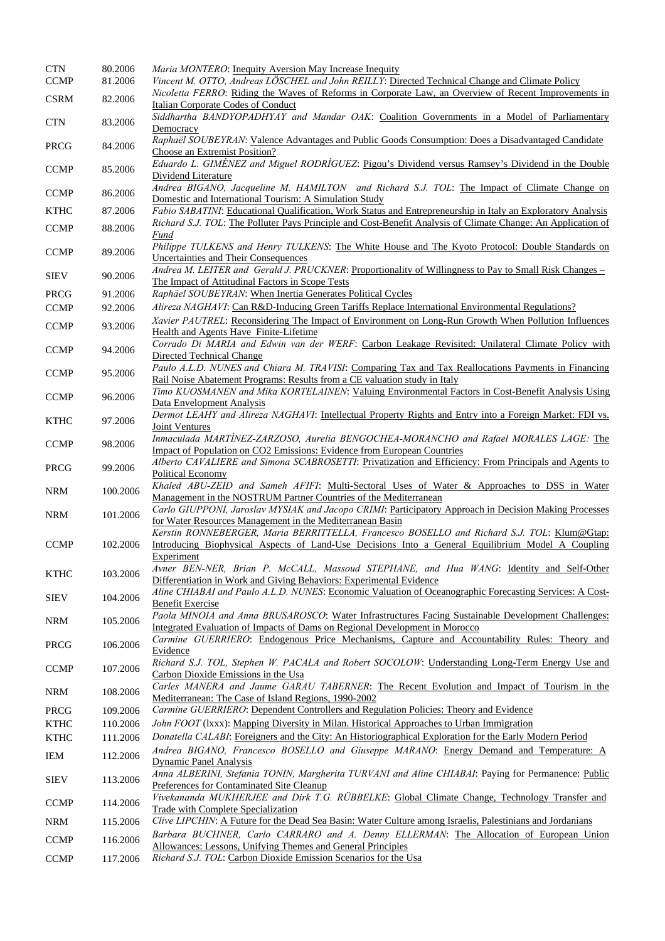| <b>CTN</b>  | 80.2006  | Maria MONTERO: Inequity Aversion May Increase Inequity                                                                                                                      |
|-------------|----------|-----------------------------------------------------------------------------------------------------------------------------------------------------------------------------|
| <b>CCMP</b> | 81.2006  | Vincent M. OTTO, Andreas LÖSCHEL and John REILLY: Directed Technical Change and Climate Policy                                                                              |
| <b>CSRM</b> | 82.2006  | Nicoletta FERRO: Riding the Waves of Reforms in Corporate Law, an Overview of Recent Improvements in                                                                        |
|             |          | <b>Italian Corporate Codes of Conduct</b><br>Siddhartha BANDYOPADHYAY and Mandar OAK: Coalition Governments in a Model of Parliamentary                                     |
| <b>CTN</b>  | 83.2006  | Democracy                                                                                                                                                                   |
|             |          | Raphaël SOUBEYRAN: Valence Advantages and Public Goods Consumption: Does a Disadvantaged Candidate                                                                          |
| PRCG        | 84.2006  | Choose an Extremist Position?                                                                                                                                               |
|             |          | Eduardo L. GIMÉNEZ and Miguel RODRÍGUEZ: Pigou's Dividend versus Ramsey's Dividend in the Double                                                                            |
| <b>CCMP</b> | 85.2006  | Dividend Literature                                                                                                                                                         |
| <b>CCMP</b> | 86.2006  | Andrea BIGANO, Jacqueline M. HAMILTON and Richard S.J. TOL: The Impact of Climate Change on                                                                                 |
|             |          | Domestic and International Tourism: A Simulation Study                                                                                                                      |
| <b>KTHC</b> | 87.2006  | Fabio SABATINI: Educational Qualification, Work Status and Entrepreneurship in Italy an Exploratory Analysis                                                                |
| <b>CCMP</b> | 88.2006  | Richard S.J. TOL: The Polluter Pays Principle and Cost-Benefit Analysis of Climate Change: An Application of                                                                |
|             |          | Fund<br>Philippe TULKENS and Henry TULKENS: The White House and The Kyoto Protocol: Double Standards on                                                                     |
| <b>CCMP</b> | 89.2006  | Uncertainties and Their Consequences                                                                                                                                        |
|             |          | Andrea M. LEITER and Gerald J. PRUCKNER: Proportionality of Willingness to Pay to Small Risk Changes -                                                                      |
| <b>SIEV</b> | 90.2006  | The Impact of Attitudinal Factors in Scope Tests                                                                                                                            |
| <b>PRCG</b> | 91.2006  | Raphäel SOUBEYRAN: When Inertia Generates Political Cycles                                                                                                                  |
| <b>CCMP</b> | 92.2006  | Alireza NAGHAVI: Can R&D-Inducing Green Tariffs Replace International Environmental Regulations?                                                                            |
|             |          | Xavier PAUTREL: Reconsidering The Impact of Environment on Long-Run Growth When Pollution Influences                                                                        |
| <b>CCMP</b> | 93.2006  | Health and Agents Have Finite-Lifetime                                                                                                                                      |
| <b>CCMP</b> | 94.2006  | Corrado Di MARIA and Edwin van der WERF: Carbon Leakage Revisited: Unilateral Climate Policy with                                                                           |
|             |          | Directed Technical Change                                                                                                                                                   |
| <b>CCMP</b> | 95.2006  | Paulo A.L.D. NUNES and Chiara M. TRAVISI: Comparing Tax and Tax Reallocations Payments in Financing                                                                         |
|             |          | Rail Noise Abatement Programs: Results from a CE valuation study in Italy                                                                                                   |
| <b>CCMP</b> | 96.2006  | Timo KUOSMANEN and Mika KORTELAINEN: Valuing Environmental Factors in Cost-Benefit Analysis Using<br>Data Envelopment Analysis                                              |
|             |          | Dermot LEAHY and Alireza NAGHAVI: Intellectual Property Rights and Entry into a Foreign Market: FDI vs.                                                                     |
| <b>KTHC</b> | 97.2006  | Joint Ventures                                                                                                                                                              |
|             |          | Inmaculada MARTÍNEZ-ZARZOSO, Aurelia BENGOCHEA-MORANCHO and Rafael MORALES LAGE: The                                                                                        |
| <b>CCMP</b> | 98.2006  | Impact of Population on CO2 Emissions: Evidence from European Countries                                                                                                     |
| <b>PRCG</b> | 99.2006  | Alberto CAVALIERE and Simona SCABROSETTI: Privatization and Efficiency: From Principals and Agents to                                                                       |
|             |          | Political Economy                                                                                                                                                           |
| <b>NRM</b>  | 100.2006 | Khaled ABU-ZEID and Sameh AFIFI: Multi-Sectoral Uses of Water & Approaches to DSS in Water                                                                                  |
|             |          | Management in the NOSTRUM Partner Countries of the Mediterranean                                                                                                            |
| <b>NRM</b>  | 101.2006 | Carlo GIUPPONI, Jaroslav MYSIAK and Jacopo CRIMI: Participatory Approach in Decision Making Processes                                                                       |
|             |          | for Water Resources Management in the Mediterranean Basin<br>Kerstin RONNEBERGER, Maria BERRITTELLA, Francesco BOSELLO and Richard S.J. TOL: Klum@Gtap:                     |
| <b>CCMP</b> | 102.2006 | Introducing Biophysical Aspects of Land-Use Decisions Into a General Equilibrium Model A Coupling                                                                           |
|             |          | Experiment                                                                                                                                                                  |
| <b>KTHC</b> |          | Avner BEN-NER, Brian P. McCALL, Massoud STEPHANE, and Hua WANG: Identity and Self-Other                                                                                     |
|             | 103.2006 | Differentiation in Work and Giving Behaviors: Experimental Evidence                                                                                                         |
| <b>SIEV</b> | 104.2006 | Aline CHIABAI and Paulo A.L.D. NUNES: Economic Valuation of Oceanographic Forecasting Services: A Cost-                                                                     |
|             |          | Benefit Exercise                                                                                                                                                            |
| <b>NRM</b>  | 105.2006 | Paola MINOIA and Anna BRUSAROSCO: Water Infrastructures Facing Sustainable Development Challenges:                                                                          |
|             |          | Integrated Evaluation of Impacts of Dams on Regional Development in Morocco<br>Carmine GUERRIERO: Endogenous Price Mechanisms, Capture and Accountability Rules: Theory and |
| PRCG        | 106.2006 | Evidence                                                                                                                                                                    |
|             |          | Richard S.J. TOL, Stephen W. PACALA and Robert SOCOLOW: Understanding Long-Term Energy Use and                                                                              |
| <b>CCMP</b> | 107.2006 | Carbon Dioxide Emissions in the Usa                                                                                                                                         |
|             |          | Carles MANERA and Jaume GARAU TABERNER: The Recent Evolution and Impact of Tourism in the                                                                                   |
| <b>NRM</b>  | 108.2006 | Mediterranean: The Case of Island Regions, 1990-2002                                                                                                                        |
| PRCG        | 109.2006 | Carmine GUERRIERO: Dependent Controllers and Regulation Policies: Theory and Evidence                                                                                       |
| <b>KTHC</b> | 110.2006 | John FOOT (Ixxx): Mapping Diversity in Milan. Historical Approaches to Urban Immigration                                                                                    |
| <b>KTHC</b> | 111.2006 | Donatella CALABI: Foreigners and the City: An Historiographical Exploration for the Early Modern Period                                                                     |
| IEM         | 112.2006 | Andrea BIGANO, Francesco BOSELLO and Giuseppe MARANO: Energy Demand and Temperature: A                                                                                      |
|             |          | <b>Dynamic Panel Analysis</b>                                                                                                                                               |
| <b>SIEV</b> | 113.2006 | Anna ALBERINI, Stefania TONIN, Margherita TURVANI and Aline CHIABAI: Paying for Permanence: Public                                                                          |
|             |          | Preferences for Contaminated Site Cleanup                                                                                                                                   |
| <b>CCMP</b> | 114.2006 | Vivekananda MUKHERJEE and Dirk T.G. RÜBBELKE: Global Climate Change, Technology Transfer and<br><b>Trade with Complete Specialization</b>                                   |
| NRM         | 115.2006 | Clive LIPCHIN: A Future for the Dead Sea Basin: Water Culture among Israelis, Palestinians and Jordanians                                                                   |
|             |          | Barbara BUCHNER, Carlo CARRARO and A. Denny ELLERMAN: The Allocation of European Union                                                                                      |
| <b>CCMP</b> | 116.2006 | Allowances: Lessons, Unifying Themes and General Principles                                                                                                                 |
| <b>CCMP</b> | 117.2006 | Richard S.J. TOL: Carbon Dioxide Emission Scenarios for the Usa                                                                                                             |